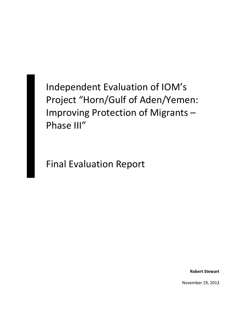Independent Evaluation of IOM's Project "Horn/Gulf of Aden/Yemen: Improving Protection of Migrants – Phase III"

Final Evaluation Report

Robert Stewart

November 19, 2013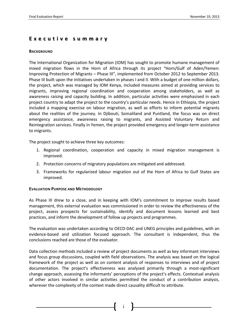# E x e c u t i v e s u m m a r y

#### **BACKGROUND**

The International Organization for Migration (IOM) has sought to promote humane management of mixed migration flows in the Horn of Africa through its project "Horn/Gulf of Aden/Yemen: Improving Protection of Migrants – Phase III", implemented from October 2012 to September 2013. Phase III built upon the initiatives undertaken in phases I and II. With a budget of one million dollars, the project, which was managed by IOM Kenya, included measures aimed at providing services to migrants, improving regional coordination and cooperation among stakeholders, as well as awareness raising and capacity building. In addition, particular activities were emphasised in each project country to adapt the project to the country's particular needs. Hence in Ethiopia, the project included a mapping exercise on labour migration, as well as efforts to inform potential migrants about the realities of the journey. In Djibouti, Somaliland and Puntland, the focus was on direct emergency assistance, awareness raising to migrants, and Assisted Voluntary Return and Reintegration services. Finally in Yemen, the project provided emergency and longer-term assistance to migrants.

The project sought to achieve three key outcomes:

- 1. Regional coordination, cooperation and capacity in mixed migration management is improved.
- 2. Protection concerns of migratory populations are mitigated and addressed.
- 3. Frameworks for regularized labour migration out of the Horn of Africa to Gulf States are improved.

#### EVALUATION PURPOSE AND METHODOLOGY

As Phase III drew to a close, and in keeping with IOM's commitment to improve results based management, this external evaluation was commissioned in order to review the effectiveness of the project, assess prospects for sustainability, identify and document lessons learned and best practices, and inform the development of follow up projects and programmes.

The evaluation was undertaken according to OECD-DAC and UNEG principles and guidelines, with an evidence-based and utilization focused approach. The consultant is independent, thus the conclusions reached are those of the evaluator.

Data collection methods included a review of project documents as well as key informant interviews and focus group discussions, coupled with field observations. The analysis was based on the logical framework of the project as well as on content analysis of responses to interviews and of project documentation. The project's effectiveness was analysed primarily through a most-significant change approach, assessing the informants' perceptions of the project's effects. Contextual analysis of other actors involved in similar activities permitted the conduct of a contribution analysis, wherever the complexity of the context made direct causality difficult to attribute.

i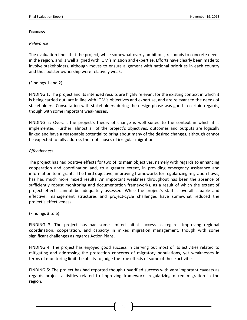#### **FINDINGS**

#### Relevance

The evaluation finds that the project, while somewhat overly ambitious, responds to concrete needs in the region, and is well aligned with IOM's mission and expertise. Efforts have clearly been made to involve stakeholders, although moves to ensure alignment with national priorities in each country and thus bolster ownership were relatively weak.

#### (Findings 1 and 2)

FINDING 1: The project and its intended results are highly relevant for the existing context in which it is being carried out, are in line with IOM's objectives and expertise, and are relevant to the needs of stakeholders. Consultation with stakeholders during the design phase was good in certain regards, though with some important weaknesses.

FINDING 2: Overall, the project's theory of change is well suited to the context in which it is implemented. Further, almost all of the project's objectives, outcomes and outputs are logically linked and have a reasonable potential to bring about many of the desired changes, although cannot be expected to fully address the root causes of irregular migration.

#### Effectiveness

The project has had positive effects for two of its main objectives, namely with regards to enhancing cooperation and coordination and, to a greater extent, in providing emergency assistance and information to migrants. The third objective, improving frameworks for regularizing migration flows, has had much more mixed results. An important weakness throughout has been the absence of sufficiently robust monitoring and documentation frameworks, as a result of which the extent of project effects cannot be adequately assessed. While the project's staff is overall capable and effective, management structures and project-cycle challenges have somewhat reduced the project's effectiveness.

## (Findings 3 to 6)

FINDING 3: The project has had some limited initial success as regards improving regional coordination, cooperation, and capacity in mixed migration management, though with some significant challenges as regards Action Plans.

FINDING 4: The project has enjoyed good success in carrying out most of its activities related to mitigating and addressing the protection concerns of migratory populations, yet weaknesses in terms of monitoring limit the ability to judge the true effects of some of those activities.

FINDING 5: The project has had reported though unverified success with very important caveats as regards project activities related to improving frameworks regularizing mixed migration in the region.

ii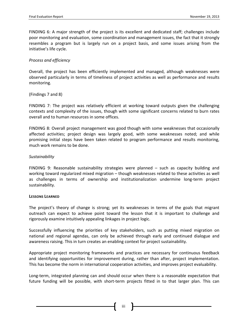FINDING 6: A major strength of the project is its excellent and dedicated staff; challenges include poor monitoring and evaluation, some coordination and management issues, the fact that it strongly resembles a program but is largely run on a project basis, and some issues arising from the initiative's life cycle.

#### Process and efficiency

Overall, the project has been efficiently implemented and managed, although weaknesses were observed particularly in terms of timeliness of project activities as well as performance and results monitoring.

#### (Findings 7 and 8)

FINDING 7: The project was relatively efficient at working toward outputs given the challenging contexts and complexity of the issues, though with some significant concerns related to burn rates overall and to human resources in some offices.

FINDING 8: Overall project management was good though with some weaknesses that occasionally affected activities; project design was largely good, with some weaknesses noted; and while promising initial steps have been taken related to program performance and results monitoring, much work remains to be done.

#### **Sustainability**

FINDING 9: Reasonable sustainability strategies were planned – such as capacity building and working toward regularized mixed migration – though weaknesses related to these activities as well as challenges in terms of ownership and institutionalization undermine long-term project sustainability.

#### LESSONS LEARNED

The project's theory of change is strong; yet its weaknesses in terms of the goals that migrant outreach can expect to achieve point toward the lesson that it is important to challenge and rigorously examine intuitively appealing linkages in project logic.

Successfully influencing the priorities of key stakeholders, such as putting mixed migration on national and regional agendas, can only be achieved through early and continued dialogue and awareness raising. This in turn creates an enabling context for project sustainability.

Appropriate project monitoring frameworks and practices are necessary for continuous feedback and identifying opportunities for improvement during, rather than after, project implementation. This has become the norm in international cooperation activities, and improves project evaluability.

Long-term, integrated planning can and should occur when there is a reasonable expectation that future funding will be possible, with short-term projects fitted in to that larger plan. This can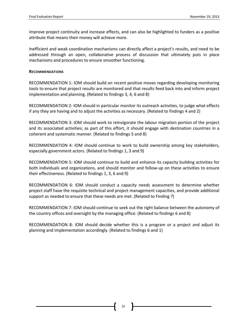improve project continuity and increase effects, and can also be highlighted to funders as a positive attribute that means their money will achieve more.

Inefficient and weak coordination mechanisms can directly affect a project's results, and need to be addressed through an open, collaborative process of discussion that ultimately puts in place mechanisms and procedures to ensure smoother functioning.

#### RECOMMENDATIONS

RECOMMENDATION 1: IOM should build on recent positive moves regarding developing monitoring tools to ensure that project results are monitored and that results feed back into and inform project implementation and planning. (Related to findings 3, 4, 6 and 8)

RECOMMENDATION 2: IOM should in particular monitor its outreach activities, to judge what effects if any they are having and to adjust the activities as necessary. (Related to findings 4 and 2)

RECOMMENDATION 3: IOM should work to reinvigorate the labour migration portion of the project and its associated activities; as part of this effort, it should engage with destination countries in a coherent and systematic manner. (Related to findings 5 and 8)

RECOMMENDATION 4: IOM should continue to work to build ownership among key stakeholders, especially government actors. (Related to findings 1, 3 and 9)

RECOMMENDATION 5: IOM should continue to build and enhance its capacity building activities for both individuals and organizations, and should monitor and follow-up on these activities to ensure their effectiveness. (Related to findings 1, 3, 6 and 9)

RECOMMENDATION 6: IOM should conduct a capacity needs assessment to determine whether project staff have the requisite technical and project management capacities, and provide additional support as needed to ensure that these needs are met. (Related to Finding 7)

RECOMMENDATION 7: IOM should continue to seek out the right balance between the autonomy of the country offices and oversight by the managing office. (Related to findings 6 and 8)

RECOMMENDATION 8: IOM should decide whether this is a program or a project and adjust its planning and implementation accordingly. (Related to findings 6 and 1)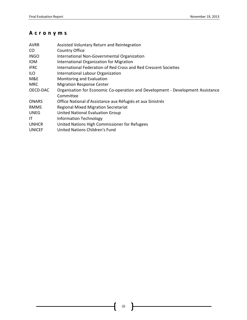# A c r o n y m s

| AVRR<br>CO.   | Assisted Voluntary Return and Reintegration<br>Country Office                                |
|---------------|----------------------------------------------------------------------------------------------|
| <b>INGO</b>   | International Non-Governmental Organization                                                  |
| <b>IOM</b>    | International Organization for Migration                                                     |
| <b>IFRC</b>   | International Federation of Red Cross and Red Crescent Societies                             |
| ILO           | International Labour Organization                                                            |
| M&E           | Monitoring and Evaluation                                                                    |
| <b>MRC</b>    | <b>Migration Response Center</b>                                                             |
| OECD-DAC      | Organisation for Economic Co-operation and Development - Development Assistance<br>Committee |
| <b>ONARS</b>  | Office National d'Assistance aux Réfugiés et aux Sinistrés                                   |
| <b>RMMS</b>   | <b>Regional Mixed Migration Secretariat</b>                                                  |
| <b>UNEG</b>   | <b>United National Evaluation Group</b>                                                      |
| ΙT            | <b>Information Technology</b>                                                                |
| <b>UNHCR</b>  | United Nations High Commissioner for Refugees                                                |
| <b>UNICEF</b> | United Nations Children's Fund                                                               |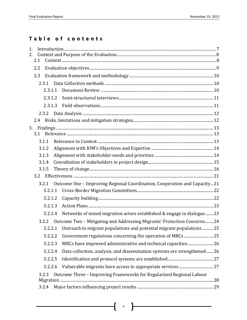# Table of contents

| 1. |     |         |                                                                           |  |
|----|-----|---------|---------------------------------------------------------------------------|--|
|    | 2.1 |         |                                                                           |  |
|    | 2.2 |         |                                                                           |  |
|    | 2.3 |         |                                                                           |  |
|    |     | 2.3.1   |                                                                           |  |
|    |     | 2.3.1.1 |                                                                           |  |
|    |     | 2.3.1.2 |                                                                           |  |
|    |     | 2.3.1.3 |                                                                           |  |
|    |     | 2.3.2   |                                                                           |  |
|    | 2.4 |         |                                                                           |  |
| 3. |     |         |                                                                           |  |
|    | 3.1 |         |                                                                           |  |
|    |     | 3.1.1   |                                                                           |  |
|    |     | 3.1.2   |                                                                           |  |
|    |     | 3.1.3   |                                                                           |  |
|    |     | 3.1.4   |                                                                           |  |
|    |     | 3.1.5   |                                                                           |  |
|    |     |         |                                                                           |  |
|    |     | 3.2.1   | Outcome One - Improving Regional Coordination, Cooperation and Capacity21 |  |
|    |     | 3.2.1.1 |                                                                           |  |
|    |     | 3.2.1.2 |                                                                           |  |
|    |     | 3.2.1.3 |                                                                           |  |
|    |     | 3.2.1.4 | Networks of mixed migration actors established & engage in dialogue 23    |  |
|    |     | 3.2.2   | Outcome Two - Mitigating and Addressing Migrants' Protection Concerns 24  |  |
|    |     | 3.2.2.1 | Outreach to migrant populations and potential migrant populations 25      |  |
|    |     | 3.2.2.2 |                                                                           |  |
|    |     | 3.2.2.3 |                                                                           |  |
|    |     | 3.2.2.4 | Data collection, analysis, and dissemination systems are strengthened26   |  |
|    |     | 3.2.2.5 |                                                                           |  |
|    |     | 3.2.2.6 |                                                                           |  |
|    |     | 3.2.3   | Outcome Three - Improving Frameworks for Regularized Regional Labour      |  |
|    |     |         |                                                                           |  |
|    |     | 3.2.4   |                                                                           |  |

 $\overline{\mathbf{f}}$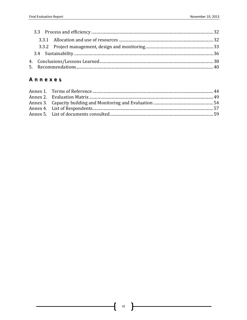# Annexes

 $\mathbf f$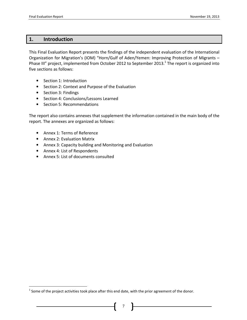# 1. Introduction

This Final Evaluation Report presents the findings of the independent evaluation of the International Organization for Migration's (IOM) "Horn/Gulf of Aden/Yemen: Improving Protection of Migrants – Phase III" project, implemented from October 2012 to September 2013. $^1$  The report is organized into five sections as follows:

- Section 1: Introduction
- Section 2: Context and Purpose of the Evaluation
- Section 3: Findings
- Section 4: Conclusions/Lessons Learned
- Section 5: Recommendations

The report also contains annexes that supplement the information contained in the main body of the report. The annexes are organized as follows:

- Annex 1: Terms of Reference
- Annex 2: Evaluation Matrix
- Annex 3: Capacity building and Monitoring and Evaluation
- Annex 4: List of Respondents

 $\overline{a}$ 

• Annex 5: List of documents consulted

 $^1$  Some of the project activities took place after this end date, with the prior agreement of the donor.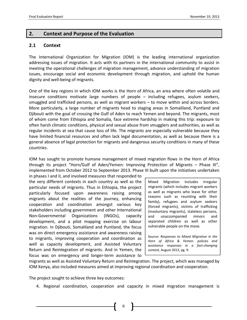# 2. Context and Purpose of the Evaluation

#### 2.1 Context

The International Organization for Migration (IOM) is the leading international organization addressing issues of migration. It acts with its partners in the international community to assist in meeting the operational challenges of migration management, advance understanding of migration issues, encourage social and economic development through migration, and uphold the human dignity and well-being of migrants.

One of the key regions in which IOM works is the Horn of Africa, an area where often volatile and insecure conditions motivate large numbers of people – including refugees, asylum seekers, smuggled and trafficked persons, as well as migrant workers – to move within and across borders. More particularly, a large number of migrants head to staging areas in Somaliland, Puntland and Djibouti with the goal of crossing the Gulf of Aden to reach Yemen and beyond. The migrants, most of whom come from Ethiopia and Somalia, face extreme hardship in making this trip: exposure to often harsh climatic conditions, physical and sexual abuse from smugglers and authorities, as well as regular incidents at sea that cause loss of life. The migrants are especially vulnerable because they have limited financial resources and often lack legal documentation, as well as because there is a general absence of legal protection for migrants and dangerous security conditions in many of these countries.

IOM has sought to promote humane management of mixed migration flows in the Horn of Africa through its project "Horn/Gulf of Aden/Yemen: Improving Protection of Migrants – Phase III", implemented from October 2012 to September 2013. Phase III built upon the initiatives undertaken

in phases I and II, and involved measures that responded to the very different contexts in each country as well as the particular needs of migrants. Thus in Ethiopia, the project particularly focused upon awareness raising among migrants about the realities of the journey, enhancing cooperation and coordination amongst various key stakeholders including government and other International Non-Governmental Organizations (INGOs), capacity development, and a pilot mapping exercise on labour migration. In Djibouti, Somaliland and Puntland, the focus was on direct emergency assistance and awareness raising to migrants, improving cooperation and coordination as well as capacity development, and Assisted Voluntary Return and Reintegration of migrants. And in Yemen, the focus was on emergency and longer-term assistance to

Mixed Migration includes irregular migrants (which includes migrant workers as well as migrants who leave for other reasons such as reuniting with their family), refugees and asylum seekers (forced migrants), victims of trafficking (involuntary migrants), stateless persons, and unaccompanied minors and separated children as well as other vulnerable people on the move.

Source: Responses to Mixed Migration in the Horn of Africa & Yemen: policies and assistance responses in a fast-changing context, August 2013, pg. 9.

migrants as well as Assisted Voluntary Return and Reintegration. The project, which was managed by IOM Kenya, also included measures aimed at improving regional coordination and cooperation.

The project sought to achieve three key outcomes:

4. Regional coordination, cooperation and capacity in mixed migration management is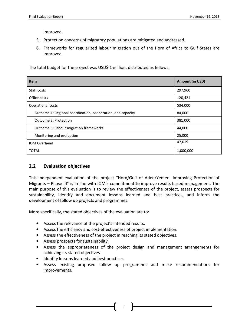improved.

- 5. Protection concerns of migratory populations are mitigated and addressed.
- 6. Frameworks for regularized labour migration out of the Horn of Africa to Gulf States are improved.

The total budget for the project was USD\$ 1 million, distributed as follows:

| <b>Item</b>                                                 | <b>Amount (in USD)</b> |
|-------------------------------------------------------------|------------------------|
| Staff costs                                                 | 297,960                |
| Office costs                                                | 120,421                |
| Operational costs                                           | 534,000                |
| Outcome 1: Regional coordination, cooperation, and capacity | 84,000                 |
| <b>Outcome 2: Protection</b>                                | 381,000                |
| Outcome 3: Labour migration frameworks                      | 44,000                 |
| Monitoring and evaluation                                   | 25,000                 |
| <b>IOM Overhead</b>                                         | 47,619                 |
| <b>TOTAL</b>                                                | 1,000,000              |

## 2.2 Evaluation objectives

This independent evaluation of the project "Horn/Gulf of Aden/Yemen: Improving Protection of Migrants – Phase III" is in line with IOM's commitment to improve results based-management. The main purpose of this evaluation is to review the effectiveness of the project, assess prospects for sustainability, identify and document lessons learned and best practices, and inform the development of follow up projects and programmes.

More specifically, the stated objectives of the evaluation are to:

- Assess the relevance of the project's intended results.
- Assess the efficiency and cost-effectiveness of project implementation.
- Assess the effectiveness of the project in reaching its stated objectives.
- Assess prospects for sustainability.
- Assess the appropriateness of the project design and management arrangements for achieving its stated objectives
- Identify lessons learned and best practices.
- Assess existing proposed follow up programmes and make recommendations for improvements.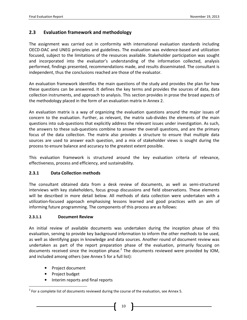# 2.3 Evaluation framework and methodology

The assignment was carried out in conformity with international evaluation standards including OECD-DAC and UNEG principles and guidelines. The evaluation was evidence-based and utilization focused, subject to the limitations of the resources available. Stakeholder participation was sought and incorporated into the evaluator's understanding of the information collected, analysis performed, findings presented, recommendations made, and results disseminated. The consultant is independent, thus the conclusions reached are those of the evaluator.

An evaluation framework identifies the main questions of the study and provides the plan for how these questions can be answered. It defines the key terms and provides the sources of data, data collection instruments, and approach to analysis. This section provides in prose the broad aspects of the methodology placed in the form of an evaluation matrix in Annex 2.

An evaluation matrix is a way of organizing the evaluation questions around the major issues of concern to the evaluation. Further, as relevant, the matrix sub-divides the elements of the main questions into sub-questions that explicitly address the relevant issues under investigation. As such, the answers to these sub-questions combine to answer the overall questions, and are the primary focus of the data collection. The matrix also provides a structure to ensure that multiple data sources are used to answer each question, and a mix of stakeholder views is sought during the process to ensure balance and accuracy to the greatest extent possible.

This evaluation framework is structured around the key evaluation criteria of relevance, effectiveness, process and efficiency, and sustainability.

## 2.3.1 Data Collection methods

The consultant obtained data from a desk review of documents, as well as semi-structured interviews with key stakeholders, focus group discussions and field observations. These elements will be described in more detail below. All methods of data collection were undertaken with a utilization-focused approach emphasising lessons learned and good practices with an aim of informing future programming. The components of this process are as follows:

## 2.3.1.1 Document Review

An initial review of available documents was undertaken during the inception phase of this evaluation, serving to provide key background information to inform the other methods to be used, as well as identifying gaps in knowledge and data sources. Another round of document review was undertaken as part of the report preparation phase of the evaluation, primarily focusing on documents received since the inception phase. $<sup>2</sup>$  The documents reviewed were provided by IOM,</sup> and included among others (see Annex 5 for a full list):

- Project document
- Project budget

 $\overline{a}$ 

• Interim reports and final reports

 $2^{2}$  For a complete list of documents reviewed during the course of the evaluation, see Annex 5.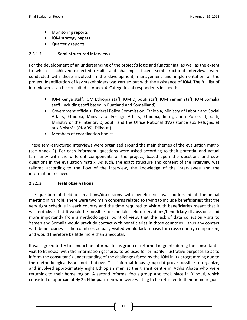- Monitoring reports
- **IOM strategy papers**
- Quarterly reports

## 2.3.1.2 Semi-structured interviews

For the development of an understanding of the project's logic and functioning, as well as the extent to which it achieved expected results and challenges faced, semi-structured interviews were conducted with those involved in the development, management and implementation of the project. Identification of key stakeholders was carried out with the assistance of IOM. The full list of interviewees can be consulted in Annex 4. Categories of respondents included:

- IOM Kenya staff; IOM Ethiopia staff; IOM Djibouti staff; IOM Yemen staff; IOM Somalia staff (including staff based in Puntland and Somaliland)
- Government officials (Federal Police Commission, Ethiopia, Ministry of Labour and Social Affairs, Ethiopia, Ministry of Foreign Affairs, Ethiopia, Immigration Police, Djibouti, Ministry of the Interior, Djibouti, and the Office National d'Assistance aux Réfugiés et aux Sinistrés (ONARS), Djibouti)
- Members of coordination bodies

These semi-structured interviews were organised around the main themes of the evaluation matrix (see Annex 2). For each informant, questions were asked according to their potential and actual familiarity with the different components of the project, based upon the questions and subquestions in the evaluation matrix. As such, the exact structure and content of the interview was tailored according to the flow of the interview, the knowledge of the interviewee and the information received.

## 2.3.1.3 Field observations

The question of field observations/discussions with beneficiaries was addressed at the initial meeting in Nairobi. There were two main concerns related to trying to include beneficiaries: that the very tight schedule in each country and the time required to visit with beneficiaries meant that it was not clear that it would be possible to schedule field observations/beneficiary discussions; and more importantly from a methodological point of view, that the lack of data collection visits to Yemen and Somalia would preclude contact with beneficiaries in those countries – thus any contact with beneficiaries in the countries actually visited would lack a basis for cross-country comparison, and would therefore be little more than anecdotal.

It was agreed to try to conduct an informal focus group of returned migrants during the consultant's visit to Ethiopia, with the information gathered to be used for primarily illustrative purposes so as to inform the consultant's understanding of the challenges faced by the IOM in its programming due to the methodological issues noted above. This informal focus group did prove possible to organize, and involved approximately eight Ethiopian men at the transit centre in Addis Ababa who were returning to their home region. A second informal focus group also took place in Djibouti, which consisted of approximately 25 Ethiopian men who were waiting to be returned to their home region.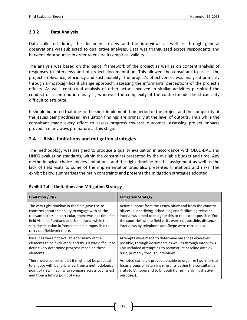# 2.3.2 Data Analysis

Data collected during the document review and the interviews as well as through general observations was subjected to qualitative analyses. Data was triangulated across respondents and between data sources in order to ensure its empirical validity.

The analysis was based on the logical framework of the project as well as on content analysis of responses to interviews and of project documentation. This allowed the consultant to assess the project's relevance, efficiency and sustainability. The project's effectiveness was analysed primarily through a most-significant change approach, assessing the informants' perceptions of the project's effects. As well, contextual analysis of other actors involved in similar activities permitted the conduct of a contribution analysis, wherever the complexity of the context made direct causality difficult to attribute.

It should be noted that due to the short implementation period of the project and the complexity of the issues being addressed, evaluation findings are primarily at the level of outputs. Thus while the consultant made every effort to assess progress towards outcomes, assessing project impacts proved in many ways premature at this stage.

# 2.4 Risks, limitations and mitigation strategies

The methodology was designed to produce a quality evaluation in accordance with OECD-DAC and UNEG evaluation standards, within the constraints presented by the available budget and time. Any methodological choice implies limitations, and the tight timeline for this assignment as well as the lack of field visits to some of the implementation sites also presented limitations and risks. The exhibit below summarises the main constraints and presents the mitigation strategies adopted.

| Limitation / Risk                                                                                                                                                                                                                                                                                         | <b>Mitigation Strategy</b>                                                                                                                                                                                                                                                                                        |
|-----------------------------------------------------------------------------------------------------------------------------------------------------------------------------------------------------------------------------------------------------------------------------------------------------------|-------------------------------------------------------------------------------------------------------------------------------------------------------------------------------------------------------------------------------------------------------------------------------------------------------------------|
| The very tight timeline in the field gave rise to<br>concerns about the ability to engage with all the<br>relevant actors. In particular, there was not time for<br>field visits to Puntland and Somaliland, while the<br>security situation in Yemen made it impossible to<br>carry out fieldwork there. | Active support from the Kenya office and from the country<br>offices in identifying, scheduling and facilitating relevant<br>interviews aimed to mitigate this to the extent possible. For<br>the countries where field visits were not possible, distance<br>interviews by telephone and Skype were carried out. |
| Baselines were not available for many of the                                                                                                                                                                                                                                                              | Attempts were made to determine baselines wherever                                                                                                                                                                                                                                                                |
| elements to be evaluated, and thus it was difficult to                                                                                                                                                                                                                                                    | possible, through documents as well as through interviews.                                                                                                                                                                                                                                                        |
| definitively determine progress made on these                                                                                                                                                                                                                                                             | This included attempting to reconstruct baseline data ex                                                                                                                                                                                                                                                          |
| elements.                                                                                                                                                                                                                                                                                                 | post, primarily through interviews.                                                                                                                                                                                                                                                                               |
| There were concerns that it might not be practical                                                                                                                                                                                                                                                        | As noted earlier, it proved possible to organize two informal                                                                                                                                                                                                                                                     |
| to engage with beneficiaries, from a methodological                                                                                                                                                                                                                                                       | focus groups of returning migrants during the consultant's                                                                                                                                                                                                                                                        |
| point of view (inability to compare across countries)                                                                                                                                                                                                                                                     | visits to Ethiopia and to Djibouti (for primarily illustrative                                                                                                                                                                                                                                                    |
| and from a timing point of view.                                                                                                                                                                                                                                                                          | purposes).                                                                                                                                                                                                                                                                                                        |

## Exhibit 2.4 – Limitations and Mitigation Strategy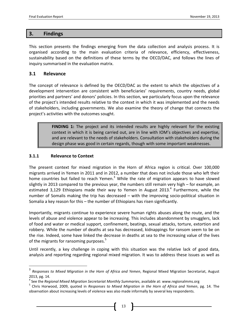# 3. Findings

This section presents the findings emerging from the data collection and analysis process. It is organised according to the main evaluation criteria of relevance, efficiency, effectiveness, sustainability based on the definitions of these terms by the OECD/DAC, and follows the lines of inquiry summarised in the evaluation matrix.

## 3.1 Relevance

The concept of relevance is defined by the OECD/DAC as the extent to which the objectives of a development intervention are consistent with beneficiaries' requirements, country needs, global priorities and partners' and donors' policies. In this section, we particularly focus upon the relevance of the project's intended results relative to the context in which it was implemented and the needs of stakeholders, including governments. We also examine the theory of change that connects the project's activities with the outcomes sought.

> FINDING 1: The project and its intended results are highly relevant for the existing context in which it is being carried out, are in line with IOM's objectives and expertise, and are relevant to the needs of stakeholders. Consultation with stakeholders during the design phase was good in certain regards, though with some important weaknesses.

## 3.1.1 Relevance to Context

 $\overline{a}$ 

The present context for mixed migration in the Horn of Africa region is critical. Over 100,000 migrants arrived in Yemen in 2011 and in 2012, a number that does not include those who left their home countries but failed to reach Yemen.<sup>3</sup> While the rate of migration appears to have slowed slightly in 2013 compared to the previous year, the numbers still remain very high – for example, an estimated 3,129 Ethiopians made their way to Yemen in August 2013.<sup>4</sup> Furthermore, while the number of Somalis making the trip has decreased – with the improving socio-political situation in Somalia a key reason for this – the number of Ethiopians has risen significantly.

Importantly, migrants continue to experience severe human rights abuses along the route, and the levels of abuse and violence appear to be increasing. This includes abandonment by smugglers, lack of food and water or medical support, confinement, beatings, sexual attacks, torture, extortion and robbery. While the number of deaths at sea has decreased, kidnappings for ransom seem to be on the rise. Indeed, some have linked the decrease in deaths at sea to the increasing value of the lives of the migrants for ransoming purposes.<sup>5</sup>

Until recently, a key challenge in coping with this situation was the relative lack of good data, analysis and reporting regarding regional mixed migration. It was to address these issues as well as

<sup>3</sup> Responses to Mixed Migration in the Horn of Africa and Yemen, Regional Mixed Migration Secretariat, August 2013, pg. 14.

<sup>&</sup>lt;sup>4</sup> See the Regional Mixed Migration Secretariat Monthly Summaries, available at: www.regionalmms.org

<sup>&</sup>lt;sup>5</sup> Chris Horwood, 2009, quoted in Responses to Mixed Migration in the Horn of Africa and Yemen, pg. 14. The observation about increasing levels of violence was also made informally by several key respondents.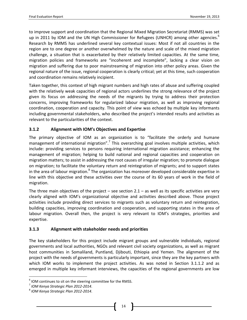to improve support and coordination that the Regional Mixed Migration Secretariat (RMMS) was set up in 2011 by IOM and the UN High Commissioner for Refugees (UNHCR) among other agencies.<sup>6</sup> Research by RMMS has underlined several key contextual issues: Most if not all countries in the region are to one degree or another overwhelmed by the nature and scale of the mixed migration challenge, a situation that is exacerbated by their relatively limited capacities. At the same time, migration policies and frameworks are "incoherent and incomplete", lacking a clear vision on migration and suffering due to poor mainstreaming of migration into other policy areas. Given the regional nature of the issue, regional cooperation is clearly critical; yet at this time, such cooperation and coordination remains relatively incipient.

Taken together, this context of high migrant numbers and high rates of abuse and suffering coupled with the relatively weak capacities of regional actors underlines the strong relevance of the project given its focus on addressing the needs of the migrants by trying to address their protection concerns, improving frameworks for regularized labour migration, as well as improving regional coordination, cooperation and capacity. This point of view was echoed by multiple key informants including governmental stakeholders, who described the project's intended results and activities as relevant to the particularities of the context.

# 3.1.2 Alignment with IOM's Objectives and Expertise

The primary objective of IOM as an organization is to "facilitate the orderly and humane management of international migration".<sup>7</sup> This overarching goal involves multiple activities, which include: providing services to persons requiring international migration assistance; enhancing the management of migration; helping to build national and regional capacities and cooperation on migration matters; to assist in addressing the root causes of irregular migration; to promote dialogue on migration; to facilitate the voluntary return and reintegration of migrants; and to support states in the area of labour migration. ${}^{8}$  The organization has moreover developed considerable expertise in line with this objective and these activities over the course of its 60 years of work in the field of migration.

The three main objectives of the project – see section  $2.1$  – as well as its specific activities are very clearly aligned with IOM's organizational objective and activities described above. Those project activities include providing direct services to migrants such as voluntary return and reintegration, building capacities, improving coordination and cooperation, and supporting states in the area of labour migration. Overall then, the project is very relevant to IOM's strategies, priorities and expertise.

# 3.1.3 Alignment with stakeholder needs and priorities

The key stakeholders for this project include migrant groups and vulnerable individuals, regional governments and local authorities, NGOs and relevant civil society organizations, as well as migrant host communities in Somaliland, Puntland, Djibouti, Ethiopia and Yemen. The alignment of the project with the needs of governments is particularly important, since they are the key partners with which IOM works to implement the project activities. As was noted in Section 3.1.1.2 and as emerged in multiple key informant interviews, the capacities of the regional governments are low

 $\overline{a}$ 

 $<sup>6</sup>$  IOM continues to sit on the steering committee for the RMSS.</sup>

 $^7$  IOM Kenya Strategic Plan 2012-2014.

<sup>8</sup> IOM Kenya Strategic Plan 2012-2014.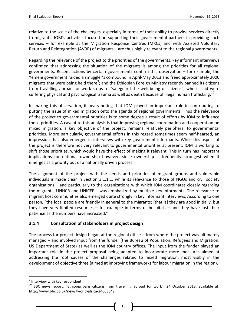relative to the scale of the challenges, especially in terms of their ability to provide services directly to migrants. IOM's activities focused on supporting their governmental partners in providing such services – for example at the Migration Response Centres (MRCs) and with Assisted Voluntary Return and Reintegration (AVRR) of migrants – are thus highly relevant to the regional governments.

Regarding the relevance of the project to the priorities of the governments, key informant interviews confirmed that addressing the situation of the migrants is among the priorities for all regional governments. Recent actions by certain governments confirm this observation – for example, the Yemeni government raided a smuggler's compound in April-May 2013 and freed approximately 2000 migrants that were being held there<sup>9</sup>; and the Ethiopian Foreign Ministry recently banned its citizens from travelling abroad for work so as to "safeguard the well-being of citizens", who it said were suffering physical and psychological trauma as well as death because of illegal human trafficking. $^{10}$ 

In making this observation, it bears noting that IOM played an important role in contributing to putting the issue of mixed migration onto the agenda of regional governments. Thus the relevance of the project to governmental priorities is to some degree a result of efforts by IOM to influence those priorities. A caveat to this analysis is that improving regional coordination and cooperation on mixed migration, a key objective of the project, remains relatively peripheral to governmental priorities. More particularly, governmental efforts in this regard sometimes seem half-hearted, an impression that also emerged in interviews with key government informants. While this aspect of the project is therefore not very relevant to governmental priorities at present, IOM is working to shift those priorities, which would have the effect of making it relevant. This in turn has important implications for national ownership however, since ownership is frequently strongest when it emerges as a priority out of a nationally driven process.

The alignment of the project with the needs and priorities of migrant groups and vulnerable individuals is made clear in Section 3.1.1.1, while its relevance to those of NGOs and civil society organizations – and particularly to the organizations with which IOM coordinates closely regarding the migrants, UNHCR and UNICEF – was emphasized by multiple key informants. The relevance to migrant host communities also emerged quite strongly in key informant interviews. According to one person, "the local people are friendly in general to the migrants; [that is] they are good initially, but they have very limited resources  $-$  for example in terms of hospitals  $-$  and they have lost their patience as the numbers have increased."

## 3.1.4 Consultation of stakeholders in project design

The process for project design began at the regional office – from where the project was ultimately managed – and involved input from the funder (the Bureau of Population, Refugees and Migration, US Department of State) as well as the IOM country offices. The input from the funder played an important role in the project proposal being adapted to incorporate more measures aimed at addressing the root causes of the challenges related to mixed migration, most visibly in the development of objective three (aimed at improving frameworks for labour migration in the region).

 $\overline{a}$ 

 $<sup>9</sup>$  Interview with key respondent.</sup>

<sup>&</sup>lt;sup>10</sup> BBC news report, "Ethiopia bans citizens from travelling abroad for work", 24 October 2013, available at: http://www.bbc.co.uk/news/world-africa-24663049.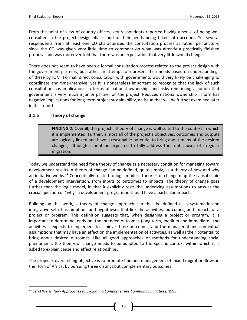From the point of view of country offices, key respondents reported having a sense of being well consulted in the project design phase, and of their needs being taken into account. Yet several respondents from at least one CO characterized the consultation process as rather perfunctory, since the CO was given very little time to comment on what was already a practically finished proposal and was moreover told that there was an expectation that very little would change.

There does not seem to have been a formal consultation process related to the project design with the government partners, but rather an attempt to represent their needs based on understandings of these by IOM. Formal, direct consultation with governments would very likely be challenging to coordinate and time-intensive; yet it is nonetheless important to recognize that the lack of such consultation has implications in terms of national ownership, and risks reinforcing a notion that government is very much a junior partner on the project. Reduced national ownership in turn has negative implications for long-term project sustainability, an issue that will be further examined later in this report.

## 3.1.5 Theory of change

 $\overline{a}$ 

FINDING 2: Overall, the project's theory of change is well suited to the context in which it is implemented. Further, almost all of the project's objectives, outcomes and outputs are logically linked and have a reasonable potential to bring about many of the desired changes, although cannot be expected to fully address the root causes of irregular migration.

Today we understand the need for a theory of change as a necessary condition for managing toward development results. A theory of change can be defined, quite simply, as a theory of how and why an initiative works.<sup>11</sup> Conceptually related to logic models, theories of change map the causal chain of a development intervention, from inputs to outcomes to impacts. The theory of change goes further than the logic model, in that it explicitly tests the underlying assumptions to answer the crucial question of "why" a development programme should have a particular impact.

Building on this work, a theory of change approach can thus be defined as a systematic and integrative set of assumptions and hypotheses that link the activities, outcomes, and impacts of a project or program. This definition suggests that, when designing a project or program, it is important to determine, early on, the intended outcomes (long term, medium and immediate), the activities it expects to implement to achieve those outcomes, and the managerial and contextual assumptions that may have an effect on the implementation of activities, as well as their potential to bring about desired outcomes. Like all good approaches or methods for understanding social phenomena, the theory of change needs to be adapted to the specific context within which it is asked to explain cause and effect relationships.

The project's overarching objective is to promote humane management of mixed migration flows in the Horn of Africa, by pursuing three distinct but complementary outcomes:

 $11$  Carol Weiss, New Approaches to Evaluating Comprehensive Community Initiatives, 1995.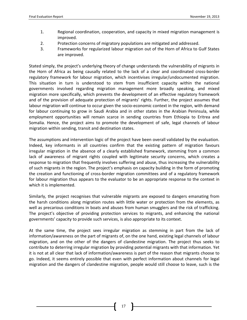- 1. Regional coordination, cooperation, and capacity in mixed migration management is improved.
- 2. Protection concerns of migratory populations are mitigated and addressed.
- 3. Frameworks for regularized labour migration out of the Horn of Africa to Gulf States are improved.

Stated simply, the project's underlying theory of change understands the vulnerability of migrants in the Horn of Africa as being causally related to the lack of a clear and coordinated cross-border regulatory framework for labour migration, which incentivises irregular/undocumented migration. This situation in turn is understood to stem from insufficient capacity within the national governments involved regarding migration management more broadly speaking, and mixed migration more specifically, which prevents the development of an effective regulatory framework and of the provision of adequate protection of migrants' rights. Further, the project assumes that labour migration will continue to occur given the socio-economic context in the region, with demand for labour continuing to grow in Saudi Arabia and in other states in the Arabian Peninsula, while employment opportunities will remain scarce in sending countries from Ethiopia to Eritrea and Somalia. Hence, the project aims to promote the development of safe, legal channels of labour migration within sending, transit and destination states.

The assumptions and intervention logic of the project have been overall validated by the evaluation. Indeed, key informants in all countries confirm that the existing pattern of migration favours irregular migration in the absence of a clearly established framework, stemming from a common lack of awareness of migrant rights coupled with legitimate security concerns, which creates a response to migration that frequently involves suffering and abuse, thus increasing the vulnerability of such migrants in the region. The project's emphasis on capacity building in the form of promoting the creation and functioning of cross-border migration committees and of a regulatory framework for labour migration thus appears to the evaluator to be an appropriate response to the context in which it is implemented.

Similarly, the project recognises that vulnerable migrants are exposed to dangers emanating from the harsh conditions along migration routes with little water or protection from the elements, as well as precarious conditions in boats and abuses from human smugglers and the risk of trafficking. The project's objective of providing protection services to migrants, and enhancing the national governments' capacity to provide such services, is also appropriate to its context.

At the same time, the project sees irregular migration as stemming in part from the lack of information/awareness on the part of migrants of, on the one hand, existing legal channels of labour migration, and on the other of the dangers of clandestine migration. The project thus seeks to contribute to deterring irregular migration by providing potential migrants with that information. Yet it is not at all clear that lack of information/awareness is part of the reason that migrants choose to go. Indeed, it seems entirely possible that even with perfect information about channels for legal migration and the dangers of clandestine migration, people would still choose to leave, such is the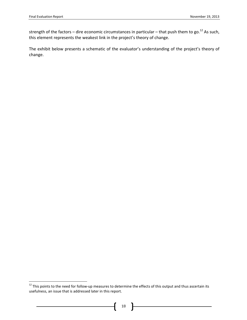$\overline{a}$ 

strength of the factors – dire economic circumstances in particular – that push them to go.<sup>12</sup> As such, this element represents the weakest link in the project's theory of change.

The exhibit below presents a schematic of the evaluator's understanding of the project's theory of change.

 $12$  This points to the need for follow-up measures to determine the effects of this output and thus ascertain its usefulness, an issue that is addressed later in this report.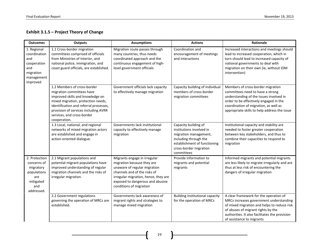# Exhibit 3.1.5 – Project Theory of Change

| <b>Outcomes</b>                                                                                   | <b>Outputs</b>                                                                                                                                                                                                                                                     | <b>Assumptions</b>                                                                                                                                                                                                                | <b>Actions</b>                                                                                                                                                             | Rationale                                                                                                                                                                                                                                             |
|---------------------------------------------------------------------------------------------------|--------------------------------------------------------------------------------------------------------------------------------------------------------------------------------------------------------------------------------------------------------------------|-----------------------------------------------------------------------------------------------------------------------------------------------------------------------------------------------------------------------------------|----------------------------------------------------------------------------------------------------------------------------------------------------------------------------|-------------------------------------------------------------------------------------------------------------------------------------------------------------------------------------------------------------------------------------------------------|
| 1. Regional<br>coordination<br>and<br>cooperation<br>and<br>migration<br>management<br>improved   | 1.1 Cross-border migration<br>committees comprised of officials<br>from Ministries of Interior, and<br>national police, immigration, and<br>coast guard officials, are established.                                                                                | Migration route passes through<br>many countries, thus needs<br>coordinated approach and the<br>continuous engagement of high-<br>level government officials                                                                      | Coordination and<br>encouragement of meetings<br>and interactions                                                                                                          | Increased interactions and meetings should<br>lead to increased cooperation, which in<br>turn should lead to increased capacity of<br>national governments to deal with<br>migration on their own (ie, without IOM<br>intervention)                   |
|                                                                                                   | 1.2 Members of cross-border<br>migration committees have<br>improved skills and knowledge on<br>mixed migration, protection needs,<br>identification and referral processes,<br>provision of services including AVRR<br>services, and cross-border<br>cooperation. | Government officials lack capacity<br>to effectively manage migration                                                                                                                                                             | Capacity building of individual<br>members of cross-border<br>migration committees                                                                                         | Members of cross-border migration<br>committees need to have a strong<br>understanding of the issues involved in<br>order to be effectively engaged in the<br>coordination of migration, as well as<br>appropriate skills to help address the issue   |
|                                                                                                   | 1.3 Local, national, and regional<br>networks of mixed migration actors<br>are established and engage in<br>action-oriented dialogue.                                                                                                                              | Governments lack institutional<br>capacity to effectively manage<br>migration                                                                                                                                                     | Capacity building of<br>institutions involved in<br>migration management,<br>including through the<br>establishment of functioning<br>cross-border migration<br>committees | Institutional capacity and stability are<br>needed to foster greater cooperation<br>between key stakeholders, and thus to<br>combine their capacities to respond to<br>migration                                                                      |
| 2. Protection<br>concerns of<br>migratory<br>populations<br>are<br>mitigated<br>and<br>addressed. | 2.1 Migrant populations and<br>potential migrant populations have<br>improved understanding of regular<br>migration channels and the risks of<br>irregular migration.                                                                                              | Migrants engage in irregular<br>migration because they are<br>unaware of regular migration<br>channels and of the risks of<br>irregular migration, hence, they are<br>exposed to dangerous and abusive<br>conditions of migration | Provide information to<br>migrants and potential<br>migrants                                                                                                               | Informed migrants and potential migrants<br>are less likely to migrate irregularly and are<br>thus at less risk of encountering the<br>dangers of irregular migration                                                                                 |
|                                                                                                   | 2.2 Government regulations<br>governing the operation of MRCs are<br>established.                                                                                                                                                                                  | Governments lack awareness of<br>migrant rights and strategies to<br>manage mixed migration                                                                                                                                       | <b>Building institutional capacity</b><br>for the operation of MRCs                                                                                                        | A clear framework for the operation of<br>MRCs increases government understanding<br>of mixed migration and helps to reduce risk<br>of abuses of migrant rights by the<br>authorities. It also facilitates the provision<br>of assistance to migrants |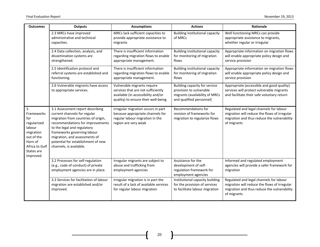| <b>Outcomes</b>                                                                                                                     | <b>Outputs</b>                                                                                                                                                                                                                                                                                              | <b>Assumptions</b>                                                                                                                             | <b>Actions</b>                                                                                                         | Rationale                                                                                                                                             |
|-------------------------------------------------------------------------------------------------------------------------------------|-------------------------------------------------------------------------------------------------------------------------------------------------------------------------------------------------------------------------------------------------------------------------------------------------------------|------------------------------------------------------------------------------------------------------------------------------------------------|------------------------------------------------------------------------------------------------------------------------|-------------------------------------------------------------------------------------------------------------------------------------------------------|
|                                                                                                                                     | 2.3 MRCs have improved<br>administrative and technical<br>capacities.                                                                                                                                                                                                                                       | MRCs lack sufficient capacities to<br>provide appropriate assistance to<br>migrants                                                            | <b>Building institutional capacity</b><br>of MRCs                                                                      | Well functioning MRCs can provide<br>appropriate assistance to migrants,<br>whether regular or irregular                                              |
|                                                                                                                                     | 2.4 Data collection, analysis, and<br>dissemination systems are<br>strengthened.                                                                                                                                                                                                                            | There is insufficient information<br>regarding migration flows to enable<br>appropriate management.                                            | <b>Building institutional capacity</b><br>for monitoring of migration<br>flows                                         | Appropriate information on migration flows<br>will enable appropriate policy design and<br>service provision                                          |
|                                                                                                                                     | 2.5 Identification protocol and<br>referral systems are established and<br>functioning.                                                                                                                                                                                                                     | There is insufficient information<br>regarding migration flows to enable<br>appropriate management.                                            | <b>Building institutional capacity</b><br>for monitoring of migration<br>flows                                         | Appropriate information on migration flows<br>will enable appropriate policy design and<br>service provision                                          |
|                                                                                                                                     | 2.6 Vulnerable migrants have access<br>to appropriate services.                                                                                                                                                                                                                                             | Vulnerable migrants require<br>services that are not sufficiently<br>available (in accessibility and/or<br>quality) to ensure their well-being | Building capacity for service<br>provision to vulnerable<br>migrants (availability of MRCs<br>and qualified personnel) | Appropriate (accessible and good quality)<br>services will protect vulnerable migrants<br>and facilitate their safe voluntary return                  |
| 3.<br>Frameworks<br>for<br>regularized<br>labour<br>migration<br>out of the<br>Horn of<br>Africa to Gulf<br>States are<br>improved. | 3.1 Assessment report describing<br>current channels for regular<br>migration from countries of origin,<br>recommendations for improvements<br>to the legal and regulatory<br>frameworks governing labour<br>migration, and assessments of<br>potential for establishment of new<br>channels, is available. | Irregular migration occurs in part<br>because appropriate channels for<br>regular labour migration in the<br>region are very weak              | Recommendations for<br>revision of frameworks for<br>migration to regularize flows                                     | Regulated and legal channels for labour<br>migration will reduce the flows of irregular<br>migration and thus reduce the vulnerability<br>of migrants |
|                                                                                                                                     | 3.2 Processes for self-regulation<br>(e.g., code of conduct) of private<br>employment agencies are in place.                                                                                                                                                                                                | Irregular migrants are subject to<br>abuse and trafficking from<br>employment agencies                                                         | Assistance for the<br>development of self-<br>regulation framework for<br>employment agencies                          | Informed and regulated employment<br>agencies will provide a safer framework for<br>migration                                                         |
|                                                                                                                                     | 3.3 Services for facilitation of labour<br>migration are established and/or<br>improved.                                                                                                                                                                                                                    | Irregular migration is in part the<br>result of a lack of available services<br>for regular labour migration                                   | Institutional capacity building<br>for the provision of services<br>to facilitate labour migration                     | Regulated and legal channels for labour<br>migration will reduce the flows of irregular<br>migration and thus reduce the vulnerability<br>of migrants |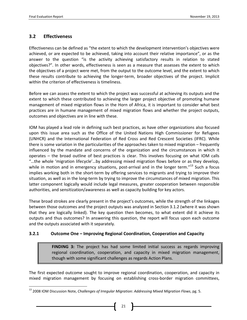$\overline{a}$ 

# 3.2 Effectiveness

Effectiveness can be defined as "the extent to which the development intervention's objectives were achieved, or are expected to be achieved, taking into account their relative importance", or as the answer to the question "is the activity achieving satisfactory results in relation to stated objectives?". In other words, effectiveness is seen as a measure that assesses the extent to which the objectives of a project were met, from the output to the outcome level, and the extent to which these results contribute to achieving the longer-term, broader objectives of the project. Implicit within the criterion of effectiveness is timeliness.

Before we can assess the extent to which the project was successful at achieving its outputs and the extent to which these contributed to achieving the larger project objective of promoting humane management of mixed migration flows in the Horn of Africa, it is important to consider what best practices are in humane management of mixed migration flows and whether the project outputs, outcomes and objectives are in line with these.

IOM has played a lead role in defining such best practices, as have other organizations also focused upon this issue area such as the Office of the United Nations High Commissioner for Refugees (UNHCR) and the International Federation of Red Cross and Red Crescent Societies (IFRC). While there is some variation in the particularities of the approaches taken to mixed migration – frequently influenced by the mandate and concerns of the organization and the circumstances in which it operates – the broad outline of best practices is clear. This involves focusing on what IOM calls "…the whole 'migration lifecycle'…by addressing mixed migration flows before or as they develop, while in motion and in emergency situations, post-arrival and in the longer term."<sup>13</sup> Such a focus implies working both in the short-term by offering services to migrants and trying to improve their situation, as well as in the long-term by trying to improve the circumstances of mixed migration. This latter component logically would include legal measures, greater cooperation between responsible authorities, and sensitization/awareness as well as capacity building for key actors.

These broad strokes are clearly present in the project's outcomes, while the strength of the linkages between those outcomes and the project outputs was analyzed in Section 3.1.2 (where it was shown that they are logically linked). The key question then becomes, to what extent did it achieve its outputs and thus outcomes? In answering this question, the report will focus upon each outcome and the outputs associated with it separately.

# 3.2.1 Outcome One – Improving Regional Coordination, Cooperation and Capacity

FINDING 3: The project has had some limited initial success as regards improving regional coordination, cooperation, and capacity in mixed migration management, though with some significant challenges as regards Action Plans.

The first expected outcome sought to improve regional coordination, cooperation, and capacity in mixed migration management by focusing on establishing cross-border migration committees,

<sup>&</sup>lt;sup>13</sup> 2008 IOM Discussion Note, Challenges of Irregular Migration: Addressing Mixed Migration Flows, pg. 5.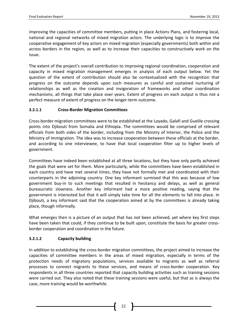improving the capacities of committee members, putting in place Actions Plans, and fostering local, national and regional networks of mixed migration actors. The underlying logic is to improve the cooperative engagement of key actors on mixed migration (especially governments) both within and across borders in the region, as well as to increase their capacities to constructively work on the issue.

The extent of the project's overall contribution to improving regional coordination, cooperation and capacity in mixed migration management emerges in analysis of each output below. Yet the question of the extent of contribution should also be contextualized with the recognition that progress on the outcome depends upon such measures as careful and sustained nurturing of relationships as well as the creation and invigoration of frameworks and other coordination mechanisms, all things that take place over years. Extent of progress on each output is thus not a perfect measure of extent of progress on the longer-term outcome.

# 3.2.1.1 Cross-Border Migration Committees

Cross-border migration committees were to be established at the Loyado, Galafi and Guelile crossing points into Djibouti from Somalia and Ethiopia. The committees would be comprised of relevant officials from both sides of the border, including from the Ministry of Interior, the Police and the Ministry of Immigration. The idea was to increase cooperation between these officials at the border, and according to one interviewee, to have that local cooperation filter up to higher levels of government.

Committees have indeed been established at all three locations, but they have only partly achieved the goals that were set for them. More particularly, while the committees have been established in each country and have met several times, they have not formally met and coordinated with their counterparts in the adjoining country. One key informant surmised that this was because of low government buy-in to such meetings that resulted in hesitancy and delays, as well as general bureaucratic slowness. Another key informant had a more positive reading, saying that the government is interested but that it will simply take time for all the elements to fall into place. In Djibouti, a key informant said that the cooperation aimed at by the committees is already taking place, though informally.

What emerges then is a picture of an output that has not been achieved, yet where key first steps have been taken that could, if they continue to be built upon, constitute the basis for greater crossborder cooperation and coordination in the future.

## 3.2.1.2 Capacity building

In addition to establishing the cross-border migration committees, the project aimed to increase the capacities of committee members in the areas of mixed migration, especially in terms of the protection needs of migratory populations, services available to migrants as well as referral processes to connect migrants to these services, and means of cross-border cooperation. Key respondents in all three countries reported that capacity building activities such as training sessions were carried out. They also noted that these training sessions were useful, but that as is always the case, more training would be worthwhile.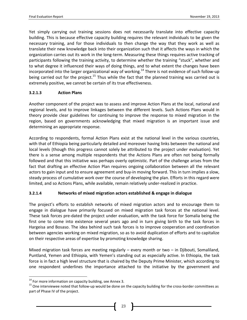Yet simply carrying out training sessions does not necessarily translate into effective capacity building. This is because effective capacity building requires the relevant individuals to be given the necessary training, and for those individuals to then change the way that they work as well as translate their new knowledge back into their organization such that it affects the ways in which the organization carries out its work in the long-term. Measuring these things requires active tracking of participants following the training activity, to determine whether the training "stuck", whether and to what degree it influenced their ways of doing things, and to what extent the changes have been incorporated into the larger organizational way of working.<sup>14</sup> There is not evidence of such follow-up being carried out for the project.<sup>15</sup> Thus while the fact that the planned training was carried out is extremely positive, we cannot be certain of its true effectiveness.

# 3.2.1.3 Action Plans

Another component of the project was to assess and improve Action Plans at the local, national and regional levels, and to improve linkages between the different levels. Such Actions Plans would in theory provide clear guidelines for continuing to improve the response to mixed migration in the region, based on governments acknowledging that mixed migration is an important issue and determining an appropriate response.

According to respondents, formal Action Plans exist at the national level in the various countries, with that of Ethiopia being particularly detailed and moreover having links between the national and local levels (though this progress cannot solely be attributed to the project under evaluation). Yet there is a sense among multiple respondents that the Actions Plans are often not being formally followed and that this initiative was perhaps overly optimistic. Part of the challenge arises from the fact that drafting an effective Action Plan requires ongoing collaboration between all the relevant actors to gain input and to ensure agreement and buy-in moving forward. This in turn implies a slow, steady process of cumulative work over the course of developing the plan. Efforts in this regard were limited, and so Actions Plans, while available, remain relatively under-realized in practice.

# 3.2.1.4 Networks of mixed migration actors established & engage in dialogue

The project's efforts to establish networks of mixed migration actors and to encourage them to engage in dialogue have primarily focused on mixed migration task forces at the national level. These task forces pre-dated the project under evaluation, with the task force for Somalia being the first one to come into existence several years ago and in turn giving birth to the task forces in Hargeisa and Bosaso. The idea behind such task forces is to improve cooperation and coordination between agencies working on mixed migration, so as to avoid duplication of efforts and to capitalize on their respective areas of expertise by promoting knowledge sharing.

Mixed migration task forces are meeting regularly – every month or two – in Djibouti, Somaliland, Puntland, Yemen and Ethiopia, with Yemen's standing out as especially active. In Ethiopia, the task force is in fact a high level structure that is chaired by the Deputy Prime Minister, which according to one respondent underlines the importance attached to the initiative by the government and

 $\overline{a}$ 

 $14$  For more information on capacity building, see Annex 3.

 $15$  One interviewee noted that follow-up would be done on the capacity building for the cross-border committees as part of Phase IV of the project.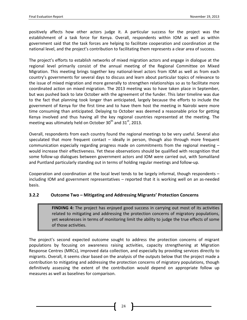positively affects how other actors judge it. A particular success for the project was the establishment of a task force for Kenya. Overall, respondents within IOM as well as within government said that the task forces are helping to facilitate cooperation and coordination at the national level, and the project's contribution to facilitating them represents a clear area of success.

The project's efforts to establish networks of mixed migration actors and engage in dialogue at the regional level primarily consist of the annual meeting of the Regional Committee on Mixed Migration. This meeting brings together key national-level actors from IOM as well as from each country's governments for several days to discuss and learn about particular topics of relevance to the issue of mixed migration and more generally to strengthen relationships so as to facilitate more coordinated action on mixed migration. The 2013 meeting was to have taken place in September, but was pushed back to late October with the agreement of the funder. This later timeline was due to the fact that planning took longer than anticipated, largely because the efforts to include the government of Kenya for the first time and to have them host the meeting in Nairobi were more time consuming than anticipated. Delaying to October was deemed a reasonable price for getting Kenya involved and thus having all the key regional countries represented at the meeting. The meeting was ultimately held on October  $30<sup>th</sup>$  and  $31<sup>st</sup>$ , 2013.

Overall, respondents from each country found the regional meetings to be very useful. Several also speculated that more frequent contact – ideally in person, though also through more frequent communication especially regarding progress made on commitments from the regional meeting – would increase their effectiveness. Yet these observations should be qualified with recognition that some follow-up dialogues between government actors and IOM were carried out, with Somaliland and Puntland particularly standing out in terms of holding regular meetings and follow-up.

Cooperation and coordination at the local level tends to be largely informal, though respondents – including IOM and government representatives – reported that it is working well on an as-needed basis.

## 3.2.2 Outcome Two – Mitigating and Addressing Migrants' Protection Concerns

FINDING 4: The project has enjoyed good success in carrying out most of its activities related to mitigating and addressing the protection concerns of migratory populations, yet weaknesses in terms of monitoring limit the ability to judge the true effects of some of those activities.

The project's second expected outcome sought to address the protection concerns of migrant populations by focusing on awareness raising activities, capacity strengthening at Migration Response Centres (MRCs), improved data collection, and especially by providing services directly to migrants. Overall, it seems clear based on the analysis of the outputs below that the project made a contribution to mitigating and addressing the protection concerns of migratory populations, though definitively assessing the extent of the contribution would depend on appropriate follow up measures as well as baselines for comparison.

24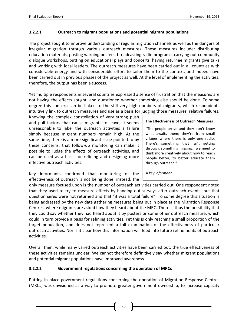## 3.2.2.1 Outreach to migrant populations and potential migrant populations

The project sought to improve understanding of regular migration channels as well as the dangers of irregular migration through various outreach measures. These measures include: distributing education materials, posting warning posters, broadcasting radio programs, carrying out community dialogue workshops, putting on educational plays and concerts, having returnee migrants give talks and working with local leaders. The outreach measures have been carried out in all countries with considerable energy and with considerable effort to tailor them to the context, and indeed have been carried out in previous phases of the project as well. At the level of implementing the activities, therefore, the output has been a success.

Yet multiple respondents in several countries expressed a sense of frustration that the measures are not having the effects sought, and questioned whether something else should be done. To some degree this concern can be linked to the still very high numbers of migrants, which respondents intuitively link to outreach measures and use as a basis for judging those measures' relative failures.

Knowing the complex constellation of very strong push and pull factors that cause migrants to leave, it seems unreasonable to label the outreach activities a failure simply because migrant numbers remain high. At the same time, there is a more significant issue pointed to by these concerns: that follow-up monitoring can make it possible to judge the effects of outreach activities, and can be used as a basis for refining and designing more effective outreach activities.

Key informants confirmed that monitoring of the effectiveness of outreach is not being done; instead, the

#### The Effectiveness of Outreach Measures

"The people arrive and they don't know what awaits them; they're from small villages where there is only one radio. There's something that isn't getting through, something missing… we need to think more creatively about how to reach people better, to better educate them through outreach."

A key informant

only measure focused upon is the number of outreach activities carried out. One respondent noted that they used to try to measure effects by handing out surveys after outreach events, but that questionnaires were not returned and that "it was a total failure". To some degree this situation is being addressed by the new data gathering measures being put in place at the Migration Response Centres, where migrants are asked how they heard about the MRC. There is thus the possibility that they could say whether they had heard about it by posters or some other outreach measure, which could in turn provide a basis for refining activities. Yet this is only reaching a small proportion of the target population, and does not represent a full examination of the effectiveness of particular outreach activities. Nor is it clear how this information will feed into future refinements of outreach activities.

Overall then, while many varied outreach activities have been carried out, the true effectiveness of these activities remains unclear. We cannot therefore definitively say whether migrant populations and potential migrant populations have improved awareness.

# 3.2.2.2 Government regulations concerning the operation of MRCs

Putting in place government regulations concerning the operation of Migration Response Centres (MRCs) was envisioned as a way to promote greater government ownership, to increase capacity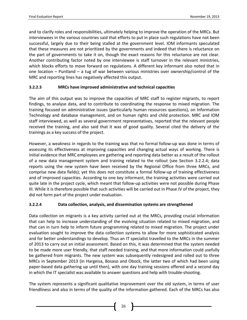and to clarify roles and responsibilities, ultimately helping to improve the operation of the MRCs. But interviewees in the various countries said that efforts to put in place such regulations have not been successful, largely due to their being stalled at the government level. IOM informants speculated that these measures are not prioritized by the governments and indeed that there is reluctance on the part of governments to take it on, though the exact reasons for this reluctance are not clear. Another contributing factor noted by one interviewee is staff turnover in the relevant ministries, which blocks efforts to move forward on regulations. A different key informant also noted that in one location – Puntland – a tug of war between various ministries over ownership/control of the MRC and reporting lines has negatively affected this output.

## 3.2.2.3 MRCs have improved administrative and technical capacities

The aim of this output was to improve the capacities of MRC staff to register migrants, to report findings, to analyse data, and to contribute to coordinating the response to mixed migration. The training focused on administrative issues (particularly human resources questions), on Information Technology and database management, and on human rights and child protection. MRC and IOM staff interviewed, as well as several government representatives, reported that the relevant people received the training, and also said that it was of good quality. Several cited the delivery of the trainings as a key success of the project.

However, a weakness in regards to the training was that no formal follow-up was done in terms of assessing its effectiveness at improving capacities and changing actual ways of working. There is initial evidence that MRC employees are gathering and reporting data better as a result of the rollout of a new data management system and training related to the rollout (see Section 3.2.2.4; data reports using the new system have been received by the Regional Office from three MRCs, and comprise new data fields); yet this does not constitute a formal follow-up of training effectiveness and of improved capacities. According to one key informant, the training activities were carried out quite late in the project cycle, which meant that follow-up activities were not possible during Phase III. While it is therefore possible that such activities will be carried out in Phase IV of the project, they did not form part of the project under evaluation.

## 3.2.2.4 Data collection, analysis, and dissemination systems are strengthened

Data collection on migrants is a key activity carried out at the MRCs, providing crucial information that can help to increase understanding of the evolving situation related to mixed migration, and that can in turn help to inform future programming related to mixed migration. The project under evaluation sought to improve the data collection systems to allow for more sophisticated analysis and for better understandings to develop. Thus an IT specialist travelled to the MRCs in the summer of 2013 to carry out an initial assessment. Based on this, it was determined that the system needed to be made more user friendly, that staff needed training, and that more information could usefully be gathered from migrants. The new system was subsequently redesigned and rolled out to three MRCs in September 2013 (in Hargeisa, Bosaso and Obock, the latter two of which had been using paper-based data gathering up until then), with one day training sessions offered and a second day in which the IT specialist was available to answer questions and help with trouble-shooting.

The system represents a significant qualitative improvement over the old system, in terms of user friendliness and also in terms of the quality of the information gathered. Each of the MRCs has also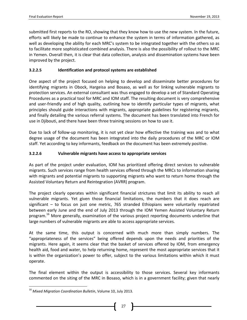submitted first reports to the RO, showing that they know how to use the new system. In the future, efforts will likely be made to continue to enhance the system in terms of information gathered, as well as developing the ability for each MRC's system to be integrated together with the others so as to facilitate more sophisticated combined analysis. There is also the possibility of rollout to the MRC in Yemen. Overall then, it is clear that data collection, analysis and dissemination systems have been improved by the project.

# 3.2.2.5 Identification and protocol systems are established

One aspect of the project focused on helping to develop and disseminate better procedures for identifying migrants in Obock, Hargeisa and Bosaso, as well as for linking vulnerable migrants to protection services. An external consultant was thus engaged to develop a set of Standard Operating Procedures as a practical tool for MRC and IOM staff. The resulting document is very comprehensive and user-friendly and of high quality, outlining how to identify particular types of migrants, what principles should guide interactions with migrants, appropriate guidelines for registering migrants, and finally detailing the various referral systems. The document has been translated into French for use in Djibouti, and there have been three training sessions on how to use it.

Due to lack of follow-up monitoring, it is not yet clear how effective the training was and to what degree usage of the document has been integrated into the daily procedures of the MRC or IOM staff. Yet according to key informants, feedback on the document has been extremely positive.

## 3.2.2.6 Vulnerable migrants have access to appropriate services

As part of the project under evaluation, IOM has prioritized offering direct services to vulnerable migrants. Such services range from health services offered through the MRCs to information sharing with migrants and potential migrants to supporting migrants who want to return home through the Assisted Voluntary Return and Reintegration (AVRR) program.

The project clearly operates within significant financial strictures that limit its ability to reach all vulnerable migrants. Yet given those financial limitations, the numbers that it does reach are significant – to focus on just one metric, 765 stranded Ethiopians were voluntarily repatriated between early June and the end of July 2013 through the IOM Yemen Assisted Voluntary Return program.<sup>16</sup> More generally, examination of the various project reporting documents underline that large numbers of vulnerable migrants are able to access appropriate services.

At the same time, this output is concerned with much more than simply numbers. The "appropriateness of the services" being offered depends upon the needs and priorities of the migrants. Here again, it seems clear that the basket of services offered by IOM, from emergency health aid, food and water, to help returning home, represent the most appropriate services that it is within the organization's power to offer, subject to the various limitations within which it must operate.

The final element within the output is accessibility to those services. Several key informants commented on the siting of the MRC in Bosaso, which is in a government facility; given that nearly

 $\overline{a}$ 

 $16$  Mixed Migration Coordination Bulletin, Volume 10, July 2013.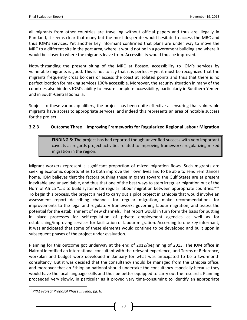all migrants from other countries are travelling without official papers and thus are illegally in Puntland, it seems clear that many but the most desperate would hesitate to access the MRC and thus IOM's services. Yet another key informant confirmed that plans are under way to move the MRC to a different site in the port area, where it would not be in a government building and where it would be closer to where the migrants leave from. Accessibility would thus be improved.

Notwithstanding the present siting of the MRC at Bosaso, accessibility to IOM's services by vulnerable migrants is good. This is not to say that it is perfect  $-$  yet it must be recognized that the migrants frequently cross borders or access the coast at isolated points and thus that there is no perfect location for making services 100% accessible. Moreover, the security situation in many of the countries also hinders IOM's ability to ensure complete accessibility, particularly in Southern Yemen and in South-Central Somalia.

Subject to these various qualifiers, the project has been quite effective at ensuring that vulnerable migrants have access to appropriate services, and indeed this represents an area of notable success for the project.

## 3.2.3 Outcome Three – Improving Frameworks for Regularized Regional Labour Migration

FINDING 5: The project has had reported though unverified success with very important caveats as regards project activities related to improving frameworks regularizing mixed migration in the region.

Migrant workers represent a significant proportion of mixed migration flows. Such migrants are seeking economic opportunities to both improve their own lives and to be able to send remittances home. IOM believes that the factors pushing these migrants toward the Gulf States are at present inevitable and unavoidable, and thus that one of the best ways to stem irregular migration out of the Horn of Africa "... is to build systems for regular labour migration between appropriate countries."<sup>17</sup> To begin this process, the project aimed to carry out a pilot project in Ethiopia that would involve an assessment report describing channels for regular migration, make recommendations for improvements to the legal and regulatory frameworks governing labour migration, and assess the potential for the establishment of new channels. That report would in turn form the basis for putting in place processes for self-regulation of private employment agencies as well as for establishing/improving services for facilitation of labour migration. According to one key informant, it was anticipated that some of these elements would continue to be developed and built upon in subsequent phases of the project under evaluation.

Planning for this outcome got underway at the end of 2012/beginning of 2013. The IOM office in Nairobi identified an international consultant with the relevant experience, and Terms of Reference, workplan and budget were developed in January for what was anticipated to be a two-month consultancy. But it was decided that the consultancy should be managed from the Ethiopia office, and moreover that an Ethiopian national should undertake the consultancy especially because they would have the local language skills and thus be better equipped to carry out the research. Planning proceeded very slowly, in particular as it proved very time-consuming to identify an appropriate

 $\overline{a}$ 

 $17$  PRM Project Proposal Phase III Final, pg. 6.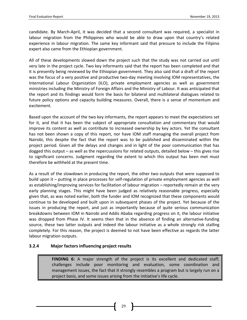candidate. By March-April, it was decided that a second consultant was required, a specialist in labour migration from the Philippines who would be able to draw upon that country's related experience in labour migration. The same key informant said that pressure to include the Filipino expert also came from the Ethiopian government.

All of these developments slowed down the project such that the study was not carried out until very late in the project cycle. Two key informants said that the report has been completed and that it is presently being reviewed by the Ethiopian government. They also said that a draft of the report was the focus of a very positive and productive two-day meeting involving IOM representatives, the International Labour Organization (ILO), private employment agencies as well as government ministries including the Ministry of Foreign Affairs and the Ministry of Labour. It was anticipated that the report and its findings would form the basis for bilateral and multilateral dialogues related to future policy options and capacity building measures. Overall, there is a sense of momentum and excitement.

Based upon the account of the two key informants, the report appears to meet the expectations set for it, and that it has been the subject of appropriate consultation and commentary that would improve its content as well as contribute to increased ownership by key actors. Yet the consultant has not been shown a copy of this report, nor have IOM staff managing the overall project from Nairobi, this despite the fact that the report was to be published and disseminated within the project period. Given all the delays and changes and in light of the poor communication that has dogged this output – as well as the repercussions for related outputs, detailed below – this gives rise to significant concerns. Judgment regarding the extent to which this output has been met must therefore be withheld at the present time.

As a result of the slowdown in producing the report, the other two outputs that were supposed to build upon it – putting in place processes for self-regulation of private employment agencies as well as establishing/improving services for facilitation of labour migration – reportedly remain at the very early planning stages. This might have been judged as relatively reasonable progress, especially given that, as was noted earlier, both the funder and IOM recognized that these components would continue to be developed and built upon in subsequent phases of the project. Yet because of the issues in producing the report, and just as importantly because of quite serious communication breakdowns between IOM in Nairobi and Addis Ababa regarding progress on it, the labour initiative was dropped from Phase IV. It seems then that in the absence of finding an alternative-funding source, these two latter outputs and indeed the labour initiative as a whole strongly risk stalling completely. For this reason, the project is deemed to not have been effective as regards the latter labour migration outputs.

## 3.2.4 Major factors influencing project results

FINDING 6: A major strength of the project is its excellent and dedicated staff; challenges include poor monitoring and evaluation, some coordination and management issues, the fact that it strongly resembles a program but is largely run on a project basis, and some issues arising from the initiative's life cycle.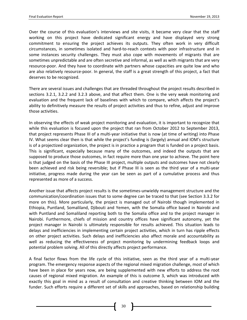Over the course of this evaluation's interviews and site visits, it became very clear that the staff working on this project have dedicated significant energy and have displayed very strong commitment to ensuring the project achieves its outputs. They often work in very difficult circumstances, in sometimes isolated and hard-to-reach contexts with poor infrastructure and in some instances security challenges. They must also cope with movements of migrants that are sometimes unpredictable and are often secretive and informal, as well as with migrants that are very resource-poor. And they have to coordinate with partners whose capacities are quite low and who are also relatively resource-poor. In general, the staff is a great strength of this project, a fact that deserves to be recognized.

There are several issues and challenges that are threaded throughout the project results described in sections 3.2.1, 3.2.2 and 3.2.3 above, and that affect them. One is the very weak monitoring and evaluation and the frequent lack of baselines with which to compare, which affects the project's ability to definitively measure the results of project activities and thus to refine, adjust and improve those activities.

In observing the effects of weak project monitoring and evaluation, it is important to recognize that while this evaluation is focused upon the project that ran from October 2012 to September 2013, that project represents Phase III of a multi-year initiative that is now (at time of writing) into Phase IV. What seems clear then is that while the project's funding is (largely) annual and IOM's structure is of a projectized organization, the project is in practice a program that is funded on a project basis. This is significant, especially because many of the outcomes, and indeed the outputs that are supposed to produce those outcomes, in fact require more than one year to achieve. The point here is that judged on the basis of the Phase III project, multiple outputs and outcomes have not clearly been achieved and risk being reversible; but if Phase III is seen as the third year of a multi-year initiative, progress made during the year can be seen as part of a cumulative process and thus represented as more of a success.

Another issue that affects project results is the sometimes-unwieldy management structure and the communication/coordination issues that to some degree can be traced to that (see Section 3.3.2 for more on this). More particularly, the project is managed out of Nairobi though implemented in Ethiopia, Puntland, Somaliland, Djibouti and Yemen, with the Somalia office based in Nairobi and with Puntland and Somaliland reporting both to the Somalia office and to the project manager in Nairobi. Furthermore, chiefs of mission and country offices have significant autonomy, yet the project manager in Nairobi is ultimately responsible for results achieved. This situation leads to delays and inefficiencies in implementing certain project activities, which in turn has ripple effects on other project activities. Such delays and inefficiencies also affect morale and accountability as well as reducing the effectiveness of project monitoring by undermining feedback loops and potential problem solving. All of this directly affects project performance.

A final factor flows from the life cycle of this initiative, seen as the third year of a multi-year program. The emergency response aspects of the regional mixed migration challenge, most of which have been in place for years now, are being supplemented with new efforts to address the root causes of regional mixed migration. An example of this is outcome 3, which was introduced with exactly this goal in mind as a result of consultation and creative thinking between IOM and the funder. Such efforts require a different set of skills and approaches, based on relationship building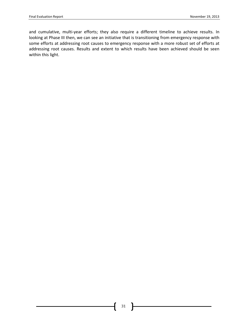and cumulative, multi-year efforts; they also require a different timeline to achieve results. In looking at Phase III then, we can see an initiative that is transitioning from emergency response with some efforts at addressing root causes to emergency response with a more robust set of efforts at addressing root causes. Results and extent to which results have been achieved should be seen within this light.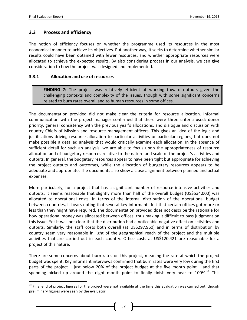$\overline{a}$ 

# 3.3 Process and efficiency

The notion of efficiency focuses on whether the programme used its resources in the most economical manner to achieve its objectives. Put another way, it seeks to determine whether similar results could have been obtained with fewer resources, and whether appropriate resources were allocated to achieve the expected results. By also considering process in our analysis, we can give consideration to how the project was designed and implemented.

## 3.3.1 Allocation and use of resources

FINDING 7: The project was relatively efficient at working toward outputs given the challenging contexts and complexity of the issues, though with some significant concerns related to burn rates overall and to human resources in some offices.

The documentation provided did not make clear the criteria for resource allocation. Informal communication with the project manager confirmed that there were three criteria used: donor priority, general consistency with the previous year's allocations, and dialogue and discussion with country Chiefs of Mission and resource management officers. This gives an idea of the logic and justifications driving resource allocation to particular activities or particular regions, but does not make possible a detailed analysis that would critically examine each allocation. In the absence of sufficient detail for such an analysis, we are able to focus upon the appropriateness of resource allocation and of budgetary resources relative to the nature and scale of the project's activities and outputs. In general, the budgetary resources appear to have been tight but appropriate for achieving the project outputs and outcomes, while the allocation of budgetary resources appears to be adequate and appropriate. The documents also show a close alignment between planned and actual expenses.

More particularly, for a project that has a significant number of resource intensive activities and outputs, it seems reasonable that slightly more than half of the overall budget (US\$534,000) was allocated to operational costs. In terms of the internal distribution of the operational budget between countries, it bears noting that several key informants felt that certain offices got more or less than they might have required. The documentation provided does not describe the rationale for how operational money was allocated between offices, thus making it difficult to pass judgment on this issue. Yet it was not clear that the distribution had a noticeable negative effect on activities and outputs. Similarly, the staff costs both overall (at US\$297,960) and in terms of distribution by country seem very reasonable in light of the geographical reach of the project and the multiple activities that are carried out in each country. Office costs at US\$120,421 are reasonable for a project of this nature.

There are some concerns about burn rates on this project, meaning the rate at which the project budget was spent. Key informant interviews confirmed that burn rates were very low during the first parts of the project – just below 20% of the project budget at the five month point – and that spending picked up around the eight month point to finally finish very near to  $100\%$ <sup>18</sup> This

 $18$  Final end of project figures for the project were not available at the time this evaluation was carried out, though preliminary figures were seen by the evaluator.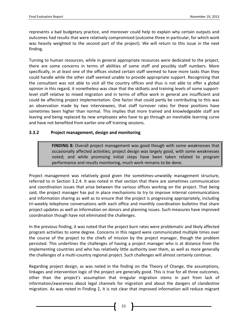represents a bad budgetary practice, and moreover could help to explain why certain outputs and outcomes had results that were relatively compromised (outcome three in particular, for which work was heavily weighted to the second part of the project). We will return to this issue in the next finding.

Turning to human resources, while in general appropriate resources were dedicated to the project, there are some concerns in terms of abilities of some staff and possibly staff numbers. More specifically, in at least one of the offices visited certain staff seemed to have more tasks than they could handle while the other staff seemed unable to provide appropriate support. Recognizing that the consultant was not able to visit all the country offices and thus is not able to offer a global opinion in this regard, it nonetheless was clear that the skillsets and training levels of some supportlevel staff relative to mixed migration and in terms of office work in general are insufficient and could be affecting project implementation. One factor that could partly be contributing to this was an observation made by two interviewees, that staff turnover rates for these positions have sometimes been higher than normal. This implies that more trained and knowledgeable staff are leaving and being replaced by new employees who have to go through an inevitable learning curve and have not benefited from earlier one-off training sessions.

# 3.3.2 Project management, design and monitoring

FINDING 8: Overall project management was good though with some weaknesses that occasionally affected activities; project design was largely good, with some weaknesses noted; and while promising initial steps have been taken related to program performance and results monitoring, much work remains to be done.

Project management was relatively good given the sometimes-unwieldy management structure, referred to in Section 3.2.4. It was noted in that section that there are sometimes communication and coordination issues that arise between the various offices working on the project. That being said, the project manager has put in place mechanisms to try to improve internal communications and information sharing as well as to ensure that the project is progressing appropriately, including tri-weekly telephone conversations with each office and monthly coordination bulletins that share project updates as well as information on donors and planning issues. Such measures have improved coordination though have not eliminated the challenges.

In the previous finding, it was noted that the project burn rates were problematic and likely affected program activities to some degree. Concerns in this regard were communicated multiple times over the course of the project to the chiefs of mission by the project manager, though the problem persisted. This underlines the challenges of having a project manager who is at distance from the implementing countries and who has relatively little authority over them, as well as more generally the challenges of a multi-country regional project. Such challenges will almost certainly continue.

Regarding project design, as was noted in the finding on the Theory of Change, the assumptions, linkages and intervention logic of the project are generally good. This is true for all three outcomes, other than the project's assumption that irregular migration stems in part from lack of information/awareness about legal channels for migration and about the dangers of clandestine migration. As was noted in Finding 2, it is not clear that improved information will reduce migrant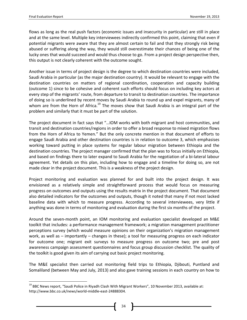$\overline{a}$ 

flows as long as the real push factors (economic issues and insecurity in particular) are still in place and at the same level. Multiple key interviewees indirectly confirmed this point, claiming that even if potential migrants were aware that they are almost certain to fail and that they strongly risk being abused or suffering along the way, they would still overestimate their chances of being one of the lucky ones that would succeed and would thus choose to go. From a project design perspective then, this output is not clearly coherent with the outcome sought.

Another issue in terms of project design is the degree to which destination countries were included, Saudi Arabia in particular (as the major destination country). It would be relevant to engage with the destination countries on matters of regional coordination, cooperation and capacity building (outcome 1) since to be cohesive and coherent such efforts should focus on including key actors at every step of the migrants' route, from departure to transit to destination countries. The importance of doing so is underlined by recent moves by Saudi Arabia to round up and expel migrants, many of whom are from the Horn of Africa.<sup>19</sup> The moves show that Saudi Arabia is an integral part of the problem and similarly that it must be part of the solution.

The project document in fact says that "…IOM works with both migrant and host communities, and transit and destination countries/regions in order to offer a broad response to mixed migration flows from the Horn of Africa to Yemen." But the only concrete mention in that document of efforts to engage Saudi Arabia and other destination countries is in relation to outcome 3, which emphasises working toward putting in place systems for regular labour migration between Ethiopia and the destination countries. The project manager confirmed that the plan was to focus initially on Ethiopia, and based on findings there to later expand to Saudi Arabia for the negotiation of a bi-lateral labour agreement. Yet details on this plan, including how to engage and a timeline for doing so, are not made clear in the project document. This is a weakness of the project design.

Project monitoring and evaluation was planned for and built into the project design. It was envisioned as a relatively simple and straightforward process that would focus on measuring progress on outcomes and outputs using the results matrix in the project document. That document also detailed indicators for the outcomes and outputs, though it noted that many if not most lacked baseline data with which to measure progress. According to several interviewees, very little if anything was done in terms of monitoring and evaluation during the first six months of the project.

Around the seven-month point, an IOM monitoring and evaluation specialist developed an M&E toolkit that includes: a performance management framework; a migration management practitioner perceptions survey (which would measure opinions on their organization's migration management work, as well as – importantly – changes in these); a tool for measuring progress on each indicator for outcome one; migrant exit surveys to measure progress on outcome two; pre and post awareness campaign assessment questionnaires and focus group discussion checklist. The quality of the toolkit is good given its aim of carrying out basic project monitoring.

The M&E specialist then carried out monitoring field trips to Ethiopia, Djibouti, Puntland and Somaliland (between May and July, 2013) and also gave training sessions in each country on how to

<sup>&</sup>lt;sup>19</sup> BBC News report, "Saudi Police in Riyadh Clash With Migrant Workers", 10 November 2013, available at: http://www.bbc.co.uk/news/world-middle-east-24888304.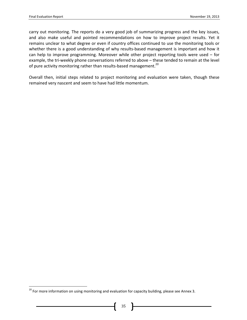$\overline{a}$ 

carry out monitoring. The reports do a very good job of summarizing progress and the key issues, and also make useful and pointed recommendations on how to improve project results. Yet it remains unclear to what degree or even if country offices continued to use the monitoring tools or whether there is a good understanding of why results-based management is important and how it can help to improve programming. Moreover while other project reporting tools were used – for example, the tri-weekly phone conversations referred to above – these tended to remain at the level of pure activity monitoring rather than results-based management.<sup>20</sup>

Overall then, initial steps related to project monitoring and evaluation were taken, though these remained very nascent and seem to have had little momentum.

 $20$  For more information on using monitoring and evaluation for capacity building, please see Annex 3.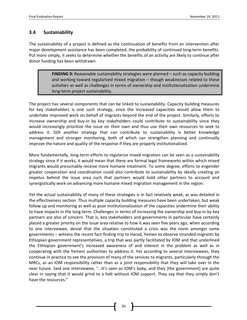# 3.4 Sustainability

The sustainability of a project is defined as the continuation of benefits from an intervention after major development assistance has been completed, the probability of continued long-term benefits. Put more simply, it seeks to determine whether the benefits of an activity are likely to continue after donor funding has been withdrawn.

> FINDING 9: Reasonable sustainability strategies were planned – such as capacity building and working toward regularized mixed migration – though weaknesses related to these activities as well as challenges in terms of ownership and institutionalization undermine long-term project sustainability.

The project has several components that can be linked to sustainability. Capacity building measures for key stakeholders is one such strategy, since the increased capacities would allow them to undertake improved work on behalf of migrants beyond the end of the project. Similarly, efforts to increase ownership and buy-in by key stakeholders could contribute to sustainability since they would increasingly prioritize the issue on their own and thus use their own resources to seek to address it. Still another strategy that can contribute to sustainability is better knowledge management and stronger monitoring, both of which can strengthen planning and continually improve the nature and quality of the response if they are properly institutionalized.

More fundamentally, long-term efforts to regularize mixed migration can be seen as a sustainability strategy since if it works, it would mean that there are formal legal frameworks within which mixed migrants would presumably receive more humane treatment. To some degree, efforts to engender greater cooperation and coordination could also contribute to sustainability by ideally creating an impetus behind the issue area such that partners would hold other partners to account and synergistically work on advancing more humane mixed migration management in the region.

Yet the actual sustainability of many of these strategies is in fact relatively weak, as was detailed in the effectiveness section. Thus multiple capacity building measures have been undertaken, but weak follow up and monitoring as well as poor institutionalization of the capacities undermine their ability to have impacts in the long-term. Challenges in terms of increasing the ownership and buy-in by key partners are also of concern. That is, key stakeholders and governments in particular have certainly placed a greater priority on the issue area relative to how it was seen five years ago, when according to one interviewee, denial that the situation constituted a crisis was the norm amongst some governments – witness the recent fact-finding trip to Harad, Yemen to observe stranded migrants by Ethiopian government representatives, a trip that was partly facilitated by IOM and that underlined the Ethiopian government's increased awareness of and interest in the problem as well as in cooperating with the Yemeni authorities to address it. Yet according to several interviewees, they continue in practice to see the provision of many of the services to migrants, particularly through the MRCs, as an IOM responsibility rather than as a joint responsibility that they will take over in the near future. Said one interviewee, "…it's seen as IOM's baby, and they [the government] are quite clear in saying that it would grind to a halt without IOM support. They say that they simply don't have the resources."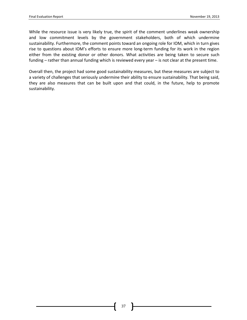While the resource issue is very likely true, the spirit of the comment underlines weak ownership and low commitment levels by the government stakeholders, both of which undermine sustainability. Furthermore, the comment points toward an ongoing role for IOM, which in turn gives rise to questions about IOM's efforts to ensure more long-term funding for its work in the region either from the existing donor or other donors. What activities are being taken to secure such funding – rather than annual funding which is reviewed every year – is not clear at the present time.

Overall then, the project had some good sustainability measures, but these measures are subject to a variety of challenges that seriously undermine their ability to ensure sustainability. That being said, they are also measures that can be built upon and that could, in the future, help to promote sustainability.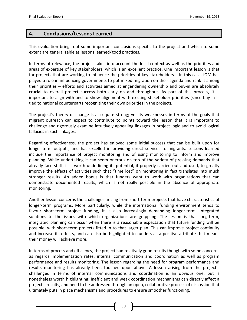# 4. Conclusions/Lessons Learned

This evaluation brings out some important conclusions specific to the project and which to some extent are generalizable as lessons learned/good practices.

In terms of relevance, the project takes into account the local context as well as the priorities and areas of expertise of key stakeholders, which is an excellent practice. One important lesson is that for projects that are working to influence the priorities of key stakeholders – in this case, IOM has played a role in influencing governments to put mixed migration on their agenda and rank it among their priorities – efforts and activities aimed at engendering ownership and buy-in are absolutely crucial to overall project success both early on and throughout. As part of this process, it is important to align with and to show alignment with existing stakeholder priorities (since buy-in is tied to national counterparts recognizing their own priorities in the project).

The project's theory of change is also quite strong; yet its weaknesses in terms of the goals that migrant outreach can expect to contribute to points toward the lesson that it is important to challenge and rigorously examine intuitively appealing linkages in project logic and to avoid logical fallacies in such linkages.

Regarding effectiveness, the project has enjoyed some initial success that can be built upon for longer-term outputs, and has excelled in providing direct services to migrants. Lessons learned include the importance of project monitoring and of using monitoring to inform and improve planning. While undertaking it can seem onerous on top of the variety of pressing demands that already face staff, it is worth underlining its potential, if properly carried out and used, to greatly improve the effects of activities such that "time lost" on monitoring in fact translates into much stronger results. An added bonus is that funders want to work with organizations that can demonstrate documented results, which is not really possible in the absence of appropriate monitoring.

Another lesson concerns the challenges arising from short-term projects that have characteristics of longer-term programs. More particularly, while the international funding environment tends to favour short-term project funding, it is also increasingly demanding longer-term, integrated solutions to the issues with which organizations are grappling. The lesson is that long-term, integrated planning can occur when there is a reasonable expectation that future funding will be possible, with short-term projects fitted in to that larger plan. This can improve project continuity and increase its effects, and can also be highlighted to funders as a positive attribute that means their money will achieve more.

In terms of process and efficiency, the project had relatively good results though with some concerns as regards implementation rates, internal communication and coordination as well as program performance and results monitoring. The lesson regarding the need for program performance and results monitoring has already been touched upon above. A lesson arising from the project's challenges in terms of internal communications and coordination is an obvious one, but is nonetheless worth highlighting: inefficient and weak coordination mechanisms can directly affect a project's results, and need to be addressed through an open, collaborative process of discussion that ultimately puts in place mechanisms and procedures to ensure smoother functioning.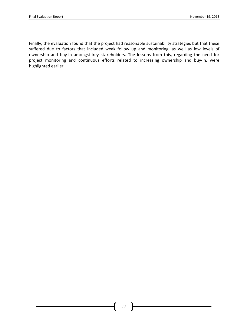Finally, the evaluation found that the project had reasonable sustainability strategies but that these suffered due to factors that included weak follow up and monitoring, as well as low levels of ownership and buy-in amongst key stakeholders. The lessons from this, regarding the need for project monitoring and continuous efforts related to increasing ownership and buy-in, were highlighted earlier.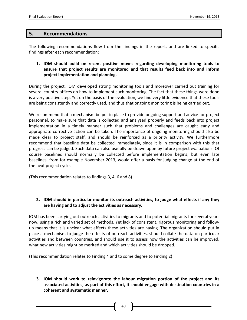## 5. Recommendations

The following recommendations flow from the findings in the report, and are linked to specific findings after each recommendation:

## 1. IOM should build on recent positive moves regarding developing monitoring tools to ensure that project results are monitored and that results feed back into and inform project implementation and planning.

During the project, IOM developed strong monitoring tools and moreover carried out training for several country offices on how to implement such monitoring. The fact that these things were done is a very positive step. Yet on the basis of the evaluation, we find very little evidence that these tools are being consistently and correctly used, and thus that ongoing monitoring is being carried out.

We recommend that a mechanism be put in place to provide ongoing support and advice for project personnel, to make sure that data is collected and analyzed properly and feeds back into project implementation in a timely manner such that problems and challenges are caught early and appropriate corrective action can be taken. The importance of ongoing monitoring should also be made clear to project staff, and should be reinforced as a priority activity. We furthermore recommend that baseline data be collected immediately, since it is in comparison with this that progress can be judged. Such data can also usefully be drawn upon by future project evaluations. Of course baselines should normally be collected before implementation begins; but even late baselines, from for example November 2013, would offer a basis for judging change at the end of the next project cycle.

(This recommendation relates to findings 3, 4, 6 and 8)

#### 2. IOM should in particular monitor its outreach activities, to judge what effects if any they are having and to adjust the activities as necessary.

IOM has been carrying out outreach activities to migrants and to potential migrants for several years now, using a rich and varied set of methods. Yet lack of consistent, rigorous monitoring and followup means that it is unclear what effects these activities are having. The organization should put in place a mechanism to judge the effects of outreach activities, should collate the data on particular activities and between countries, and should use it to assess how the activities can be improved, what new activities might be merited and which activities should be dropped.

(This recommendation relates to Finding 4 and to some degree to Finding 2)

3. IOM should work to reinvigorate the labour migration portion of the project and its associated activities; as part of this effort, it should engage with destination countries in a coherent and systematic manner.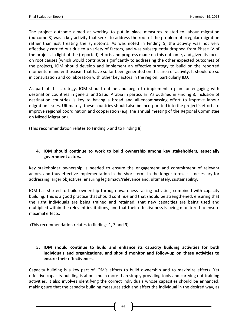The project outcome aimed at working to put in place measures related to labour migration (outcome 3) was a key activity that seeks to address the root of the problem of irregular migration rather than just treating the symptoms. As was noted in Finding 5, the activity was not very effectively carried out due to a variety of factors, and was subsequently dropped from Phase IV of the project. In light of the (reported) efforts and progress made on this outcome, and given its focus on root causes (which would contribute significantly to addressing the other expected outcomes of the project), IOM should develop and implement an effective strategy to build on the reported momentum and enthusiasm that have so far been generated on this area of activity. It should do so in consultation and collaboration with other key actors in the region, particularly ILO.

As part of this strategy, IOM should outline and begin to implement a plan for engaging with destination countries in general and Saudi Arabia in particular. As outlined in Finding 8, inclusion of destination countries is key to having a broad and all-encompassing effort to improve labour migration issues. Ultimately, these countries should also be incorporated into the project's efforts to improve regional coordination and cooperation (e.g. the annual meeting of the Regional Committee on Mixed Migration).

(This recommendation relates to Finding 5 and to Finding 8)

## 4. IOM should continue to work to build ownership among key stakeholders, especially government actors.

Key stakeholder ownership is needed to ensure the engagement and commitment of relevant actors, and thus effective implementation in the short term. In the longer term, it is necessary for addressing larger objectives, ensuring legitimacy/relevance and, ultimately, sustainability.

IOM has started to build ownership through awareness raising activities, combined with capacity building. This is a good practice that should continue and that should be strengthened, ensuring that the right individuals are being trained and retained, that new capacities are being used and multiplied within the relevant institutions, and that their effectiveness is being monitored to ensure maximal effects.

(This recommendation relates to findings 1, 3 and 9)

5. IOM should continue to build and enhance its capacity building activities for both individuals and organizations, and should monitor and follow-up on these activities to ensure their effectiveness.

Capacity building is a key part of IOM's efforts to build ownership and to maximize effects. Yet effective capacity building is about much more than simply providing tools and carrying out training activities. It also involves identifying the correct individuals whose capacities should be enhanced, making sure that the capacity building measures stick and affect the individual in the desired way, as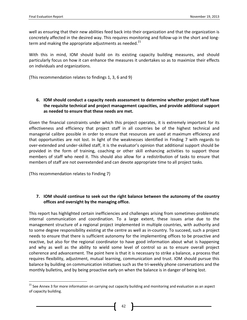well as ensuring that their new abilities feed back into their organization and that the organization is concretely affected in the desired way. This requires monitoring and follow-up in the short and longterm and making the appropriate adjustments as needed.<sup>21</sup>

With this in mind, IOM should build on its existing capacity building measures, and should particularly focus on how it can enhance the measures it undertakes so as to maximize their effects on individuals and organizations.

(This recommendation relates to findings 1, 3, 6 and 9)

## 6. IOM should conduct a capacity needs assessment to determine whether project staff have the requisite technical and project management capacities, and provide additional support as needed to ensure that these needs are met.

Given the financial constraints under which this project operates, it is extremely important for its effectiveness and efficiency that project staff in all countries be of the highest technical and managerial calibre possible in order to ensure that resources are used at maximum efficiency and that opportunities are not lost. In light of the weaknesses identified in Finding 7 with regards to over-extended and under-skilled staff, it is the evaluator's opinion that additional support should be provided in the form of training, coaching or other skill enhancing activities to support those members of staff who need it. This should also allow for a redistribution of tasks to ensure that members of staff are not overextended and can devote appropriate time to all project tasks.

(This recommendation relates to Finding 7)

 $\overline{a}$ 

## 7. IOM should continue to seek out the right balance between the autonomy of the country offices and oversight by the managing office.

This report has highlighted certain inefficiencies and challenges arising from sometimes-problematic internal communication and coordination. To a large extent, these issues arise due to the management structure of a regional project implemented in multiple countries, with authority and to some degree responsibility existing at the centre as well as in-country. To succeed, such a project needs to ensure that there is sufficient autonomy for the implementing offices to be proactive and reactive, but also for the regional coordinator to have good information about what is happening and why as well as the ability to wield some level of control so as to ensure overall project coherence and advancement. The point here is that it is necessary to strike a balance, a process that requires flexibility, adjustment, mutual learning, communication and trust. IOM should pursue this balance by building on communication initiatives such as the tri-weekly phone conversations and the monthly bulletins, and by being proactive early on when the balance is in danger of being lost.

 $21$  See Annex 3 for more information on carrying out capacity building and monitoring and evaluation as an aspect of capacity building.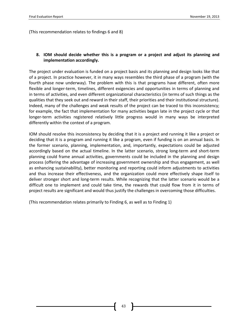(This recommendation relates to findings 6 and 8)

## 8. IOM should decide whether this is a program or a project and adjust its planning and implementation accordingly.

The project under evaluation is funded on a project basis and its planning and design looks like that of a project. In practice however, it in many ways resembles the third phase of a program (with the fourth phase now underway). The problem with this is that programs have different, often more flexible and longer-term, timelines, different exigencies and opportunities in terms of planning and in terms of activities, and even different organizational characteristics (in terms of such things as the qualities that they seek out and reward in their staff, their priorities and their institutional structure). Indeed, many of the challenges and weak results of the project can be traced to this inconsistency; for example, the fact that implementation for many activities began late in the project cycle or that longer-term activities registered relatively little progress would in many ways be interpreted differently within the context of a program.

IOM should resolve this inconsistency by deciding that it is a project and running it like a project or deciding that it is a program and running it like a program, even if funding is on an annual basis. In the former scenario, planning, implementation, and, importantly, expectations could be adjusted accordingly based on the actual timeline. In the latter scenario, strong long-term and short-term planning could frame annual activities, governments could be included in the planning and design process (offering the advantage of increasing government ownership and thus engagement, as well as enhancing sustainability), better monitoring and reporting could inform adjustments to activities and thus increase their effectiveness, and the organization could more effectively shape itself to deliver stronger short and long-term results. While recognizing that the latter scenario would be a difficult one to implement and could take time, the rewards that could flow from it in terms of project results are significant and would thus justify the challenges in overcoming those difficulties.

(This recommendation relates primarily to Finding 6, as well as to Finding 1)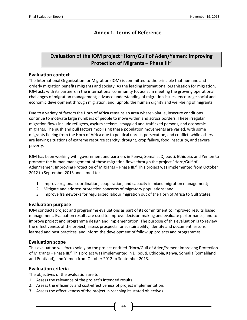# Annex 1. Terms of Reference

# Evaluation of the IOM project "Horn/Gulf of Aden/Yemen: Improving Protection of Migrants – Phase III"

## Evaluation context

The International Organization for Migration (IOM) is committed to the principle that humane and orderly migration benefits migrants and society. As the leading international organization for migration, IOM acts with its partners in the international community to: assist in meeting the growing operational challenges of migration management; advance understanding of migration issues; encourage social and economic development through migration, and; uphold the human dignity and well-being of migrants.

Due to a variety of factors the Horn of Africa remains an area where volatile, insecure conditions continue to motivate large numbers of people to move within and across borders. These irregular migration flows include refugees, asylum seekers, smuggled and trafficked persons, and economic migrants. The push and pull factors mobilizing these population movements are varied, with some migrants fleeing from the Horn of Africa due to political unrest, persecution, and conflict, while others are leaving situations of extreme resource scarcity, drought, crop failure, food insecurity, and severe poverty.

IOM has been working with government and partners in Kenya, Somalia, Djibouti, Ethiopia, and Yemen to promote the human management of these migration flows through the project "Horn/Gulf of Aden/Yemen: Improving Protection of Migrants – Phase III." This project was implemented from October 2012 to September 2013 and aimed to:

- 1. Improve regional coordination, cooperation, and capacity in mixed migration management;
- 2. Mitigate and address protection concerns of migratory populations; and
- 3. Improve frameworks for regularized labour migration out of the Horn of Africa to Gulf States.

# Evaluation purpose

IOM conducts project and programme evaluations as part of its commitment to improved results based management. Evaluation results are used to improve decision-making and evaluate performance, and to improve project and programme design and implementation. The purpose of this evaluation is to review the effectiveness of the project, assess prospects for sustainability, identify and document lessons learned and best practices, and inform the development of follow up projects and programmes.

## Evaluation scope

This evaluation will focus solely on the project entitled "Horn/Gulf of Aden/Yemen: Improving Protection of Migrants – Phase III." This project was implemented in Djibouti, Ethiopia, Kenya, Somalia (Somaliland and Puntland), and Yemen from October 2012 to September 2013.

# Evaluation criteria

The objectives of the evaluation are to:

- 1. Assess the relevance of the project's intended results.
- 2. Assess the efficiency and cost-effectiveness of project implementation.
- 3. Assess the effectiveness of the project in reaching its stated objectives.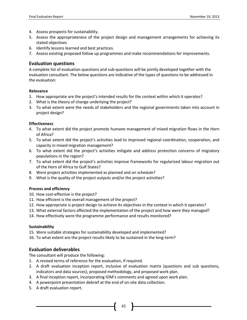- 4. Assess prospects for sustainability.
- 5. Assess the appropriateness of the project design and management arrangements for achieving its stated objectives
- 6. Identify lessons learned and best practices.
- 7. Assess existing proposed follow up programmes and make recommendations for improvements.

## Evaluation questions

A complete list of evaluation questions and sub-questions will be jointly developed together with the evaluation consultant. The below questions are indicative of the types of questions to be addressed in the evaluation:

#### Relevance

- 1. How appropriate are the project's intended results for the context within which it operates?
- 2. What is the theory of change underlying the project?
- 3. To what extent were the needs of stakeholders and the regional governments taken into account in project design?

#### Effectiveness

- 4. To what extent did the project promote humane management of mixed migration flows in the Horn of Africa?
- 5. To what extent did the project's activities lead to improved regional coordination, cooperation, and capacity in mixed migration management?
- 6. To what extent did the project's activities mitigate and address protection concerns of migratory populations in the region?
- 7. To what extent did the project's activities improve frameworks for regularized labour migration out of the Horn of Africa to Gulf States?
- 8. Were project activities implemented as planned and on schedule?
- 9. What is the quality of the project outputs and/or the project activities?

#### Process and efficiency

- 10. How cost-effective is the project?
- 11. How efficient is the overall management of the project?
- 12. How appropriate is project design to achieve its objectives in the context in which it operates?
- 13. What external factors affected the implementation of the project and how were they managed?
- 14. How effectively were the programme performance and results monitored?

#### Sustainability

- 15. Were suitable strategies for sustainability developed and implemented?
- 16. To what extent are the project results likely to be sustained in the long-term?

## Evaluation deliverables

The consultant will produce the following:

- 1. A revised terms of reference for the evaluation, if required.
- 2. A draft evaluation inception report, inclusive of evaluation matrix (questions and sub questions, indicators and data sources), proposed methodology, and proposed work plan.
- 3. A final inception report, incorporating IOM's comments and agreed upon work plan.
- 4. A powerpoint presentation debrief at the end of on-site data collection.
- 5. A draft evaluation report.

45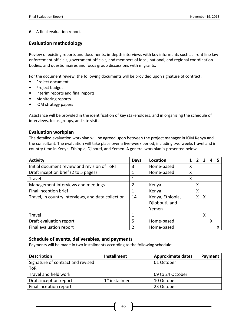#### 6. A final evaluation report.

## Evaluation methodology

Review of existing reports and documents; in-depth interviews with key informants such as front line law enforcement officials, government officials, and members of local, national, and regional coordination bodies; and questionnaires and focus group discussions with migrants.

For the document review, the following documents will be provided upon signature of contract:

- Project document
- Project budget
- Interim reports and final reports
- Monitoring reports
- IOM strategy papers

Assistance will be provided in the identification of key stakeholders, and in organizing the schedule of interviews, focus groups, and site visits.

#### Evaluation workplan

The detailed evaluation workplan will be agreed upon between the project manager in IOM Kenya and the consultant. The evaluation will take place over a five-week period, including two weeks travel and in country time in Kenya, Ethiopia, Djibouti, and Yemen. A general workplan is presented below.

| <b>Activity</b>                                    | <b>Days</b> | Location                                    | 1 | 2 | 3 | 4 | 5  |
|----------------------------------------------------|-------------|---------------------------------------------|---|---|---|---|----|
| Initial document review and revision of ToRs       | 3           | Home-based                                  | X |   |   |   |    |
| Draft inception brief (2 to 5 pages)               | 1           | Home-based                                  | X |   |   |   |    |
| Travel                                             |             |                                             | X |   |   |   |    |
| Management interviews and meetings                 | 2           | Kenya                                       |   | x |   |   |    |
| Final inception brief                              | 1           | Kenya                                       |   | Χ |   |   |    |
| Travel, in country interviews, and data collection | 14          | Kenya, Ethiopia,<br>Djiobouti, and<br>Yemen |   | X | X |   |    |
| Travel                                             |             |                                             |   |   | X |   |    |
| Draft evaluation report                            | 5           | Home-based                                  |   |   |   | X |    |
| Final evaluation report                            | 2           | Home-based                                  |   |   |   |   | X. |

#### Schedule of events, deliverables, and payments

Payments will be made in two installments according to the following schedule:

| <b>Description</b>                | <b>Installment</b>          | <b>Approximate dates</b> | Payment |
|-----------------------------------|-----------------------------|--------------------------|---------|
| Signature of contract and revised |                             | 01 October               |         |
| ToR                               |                             |                          |         |
| Travel and field work             |                             | 09 to 24 October         |         |
| Draft inception report            | 1 <sup>st</sup> installment | 10 October               |         |
| Final inception report            |                             | 23 October               |         |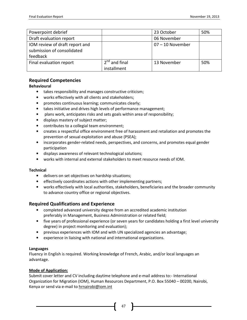| Powerpoint debrief             |                           | 23 October         | 50% |
|--------------------------------|---------------------------|--------------------|-----|
| Draft evaluation report        |                           | 06 November        |     |
| IOM review of draft report and |                           | $07 - 10$ November |     |
| submission of consolidated     |                           |                    |     |
| feedback                       |                           |                    |     |
| Final evaluation report        | 2 <sup>nd</sup> and final | 13 November        | 50% |
|                                | installment               |                    |     |

## Required Competencies

#### Behavioural

- takes responsibility and manages constructive criticism;
- works effectively with all clients and stakeholders;
- promotes continuous learning; communicates clearly;
- takes initiative and drives high levels of performance management;
- plans work, anticipates risks and sets goals within area of responsibility;
- displays mastery of subject matter;
- contributes to a collegial team environment;
- creates a respectful office environment free of harassment and retaliation and promotes the prevention of sexual exploitation and abuse (PSEA);
- incorporates gender-related needs, perspectives, and concerns, and promotes equal gender participation
- displays awareness of relevant technological solutions;
- works with internal and external stakeholders to meet resource needs of IOM.

#### **Technical**

- delivers on set objectives on hardship situations;
- effectively coordinates actions with other implementing partners;
- works effectively with local authorities, stakeholders, beneficiaries and the broader community to advance country office or regional objectives.

# Required Qualifications and Experience

- completed advanced university degree from an accredited academic institution preferably in Management, Business Administration or related field;
- five years of professional experience (or seven years for candidates holding a first level university degree) in project monitoring and evaluation);
- previous experiences with IOM and with UN specialized agencies an advantage;
- experience in liaising with national and international organizations.

#### Languages

Fluency in English is required. Working knowledge of French, Arabic, and/or local languages an advantage.

#### Mode of Application:

Submit cover letter and CV including daytime telephone and e-mail address to:- International Organization for Migration (IOM), Human Resources Department, P.O. Box 55040 – 00200, Nairobi, Kenya or send via e-mail to hrnairobi@iom.int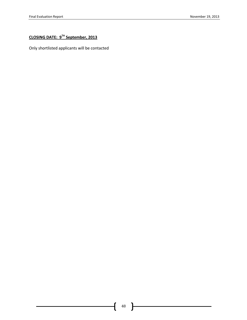# CLOSING DATE: 9TH September, 2013

Only shortlisted applicants will be contacted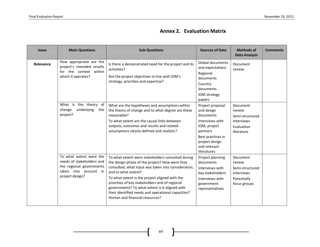| <b>Issue</b>     | <b>Main Questions</b>                                                                                                        | <b>Sub Questions</b>                                                                                                                                                                                                                                                                                                                                                                                                            | <b>Sources of Data</b>                                                                                                                                           | <b>Methods of</b><br><b>Data Analysis</b>                                                 | <b>Comments</b> |
|------------------|------------------------------------------------------------------------------------------------------------------------------|---------------------------------------------------------------------------------------------------------------------------------------------------------------------------------------------------------------------------------------------------------------------------------------------------------------------------------------------------------------------------------------------------------------------------------|------------------------------------------------------------------------------------------------------------------------------------------------------------------|-------------------------------------------------------------------------------------------|-----------------|
| <b>Relevance</b> | How appropriate are the<br>project's intended results<br>for the context within<br>which it operates?                        | Is there a demonstrated need for the project and its<br>activities?<br>Are the project objectives in line with IOM's<br>strategy, priorities and expertise?                                                                                                                                                                                                                                                                     | Global documents<br>and expectations<br>Regional<br>documents<br>Country<br>documents<br><b>IOM</b> strategy<br>papers                                           | <b>Document</b><br>review                                                                 |                 |
|                  | What is the theory of<br>change<br>underlying<br>the<br>project?                                                             | What are the hypotheses and assumptions within<br>the theory of change and to what degree are these<br>reasonable?<br>To what extent are the causal links between<br>outputs, outcomes and results and related<br>assumptions clearly defined and realistic?                                                                                                                                                                    | Project proposal<br>and design<br>documents<br>Interviews with<br>IOM, project<br>partners<br>Best practices in<br>project design<br>and relevant<br>literatures | Document<br>review<br>Semi-structured<br>interviews<br>Evaluation<br>literature           |                 |
|                  | To what extent were the<br>needs of stakeholders and<br>the regional governments<br>taken into account in<br>project design? | To what extent were stakeholders consulted during<br>the design phase of the project? How were they<br>consulted, what input was taken into consideration,<br>and to what extent?<br>To what extent is the project aligned with the<br>priorities of key stakeholders and of regional<br>governments? To what extent is it aligned with<br>their identified needs and operational capacities?<br>Human and financial resources? | Project planning<br>documents<br>Interviews with<br>key stakeholders<br>Interviews with<br>government<br>representatives                                         | <b>Document</b><br>review<br>Semi-structured<br>interviews<br>Potentially<br>focus groups |                 |

# Annex 2. Evaluation Matrix

49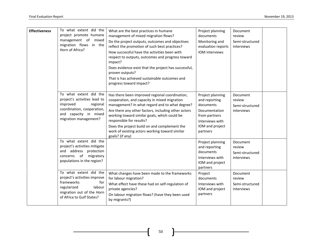| <b>Effectiveness</b> | To what extent did the<br>project promote humane<br>management of mixed<br>migration flows in the<br>Horn of Africa?                                           | What are the best practices in humane<br>management of mixed migration flows?<br>Do the project outputs, outcomes and objectives<br>reflect the promotion of such best practices?<br>How successful have the activities been with<br>respect to outputs, outcomes and progress toward<br>impact?<br>Does evidence exist that the project has successful,<br>proven outputs?<br>That is has achieved sustainable outcomes and<br>progress toward impact? | Project planning<br>documents<br>Monitoring and<br>evaluation reports<br>IOM interviews                                            | Document<br>review<br>Semi-structured<br>interviews |
|----------------------|----------------------------------------------------------------------------------------------------------------------------------------------------------------|---------------------------------------------------------------------------------------------------------------------------------------------------------------------------------------------------------------------------------------------------------------------------------------------------------------------------------------------------------------------------------------------------------------------------------------------------------|------------------------------------------------------------------------------------------------------------------------------------|-----------------------------------------------------|
|                      | To what extent did the<br>project's activities lead to<br>improved<br>regional<br>coordination, cooperation,<br>and capacity in mixed<br>migration management? | Has there been improved regional coordination,<br>cooperation, and capacity in mixed migration<br>management? In what regard and to what degree?<br>Are there any other factors, including other actors<br>working toward similar goals, which could be<br>responsible for results?<br>Does the project build on and complement the<br>work of existing actors working toward similar<br>goals? (if any)                                                | Project planning<br>and reporting<br>documents<br>Documentation<br>from partners<br>Interviews with<br>IOM and project<br>partners | Document<br>review<br>Semi-structured<br>interviews |
|                      | To what extent did the<br>project's activities mitigate<br>and address protection<br>concerns of<br>migratory<br>populations in the region?                    |                                                                                                                                                                                                                                                                                                                                                                                                                                                         | Project planning<br>and reporting<br>documents<br>Interviews with<br>IOM and project<br>partners                                   | Document<br>review<br>Semi-structured<br>interviews |
|                      | To what extent did the<br>project's activities improve<br>frameworks<br>for<br>regularized<br>labour<br>migration out of the Horn<br>of Africa to Gulf States? | What changes have been made to the frameworks<br>for labour migration?<br>What effect have these had on self-regulation of<br>private agencies?<br>On labour migration flows? (have they been used<br>by migrants?)                                                                                                                                                                                                                                     | Project<br>documents<br>Interviews with<br>IOM and project<br>partners                                                             | Document<br>review<br>Semi-structured<br>interviews |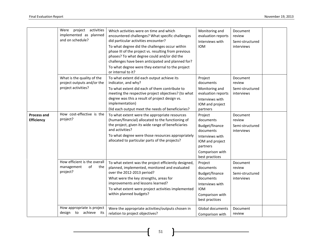-

|                                         | Were project activities<br>implemented as planned<br>and on schedule?           | Which activities were on time and which<br>encountered challenges? What specific challenges<br>did particular activities encounter?<br>To what degree did the challenges occur within<br>phase III of the project vs. resulting from previous<br>phases? To what degree could and/or did the<br>challenges have been anticipated and planned for?<br>To what degree were they external to the project<br>or internal to it? | Monitoring and<br>evaluation reports<br>Interviews with<br><b>IOM</b>                                                                      | Document<br>review<br>Semi-structured<br>interviews |  |
|-----------------------------------------|---------------------------------------------------------------------------------|-----------------------------------------------------------------------------------------------------------------------------------------------------------------------------------------------------------------------------------------------------------------------------------------------------------------------------------------------------------------------------------------------------------------------------|--------------------------------------------------------------------------------------------------------------------------------------------|-----------------------------------------------------|--|
|                                         | What is the quality of the<br>project outputs and/or the<br>project activities? | To what extent did each output achieve its<br>indicator, and why?<br>To what extent did each of them contribute to<br>meeting the respective project objectives? (to what<br>degree was this a result of project design vs.<br>implementation)<br>Did each output meet the needs of beneficiaries?                                                                                                                          | Project<br>documents<br>Monitoring and<br>evaluation reports<br>Interviews with<br>IOM and project<br>partners                             | Document<br>review<br>Semi-structured<br>interviews |  |
| <b>Process and</b><br><b>Efficiency</b> | How cost-effective is the<br>project?                                           | To what extent were the appropriate resources<br>(human/financial) allocated to the functioning of<br>the project, given its wide range of beneficiaries<br>and activities?<br>To what degree were those resources appropriately<br>allocated to particular parts of the projects?                                                                                                                                          | Project<br>documents<br>Budget/finance<br>documents<br>Interviews with<br>IOM and project<br>partners<br>Comparison with<br>best practices | Document<br>review<br>Semi-structured<br>interviews |  |
|                                         | How efficient is the overall<br>of<br>management<br>the<br>project?             | To what extent was the project efficiently designed,<br>planned, implemented, monitored and evaluated<br>over the 2012-2013 period?<br>What were the key strengths, areas for<br>improvements and lessons learned?<br>To what extent were project activities implemented<br>within planned budgets?                                                                                                                         | Project<br>documents<br>Budget/finance<br>documents<br>Interviews with<br><b>IOM</b><br>Comparison with<br>best practices                  | Document<br>review<br>Semi-structured<br>interviews |  |
|                                         | How appropriate is project<br>design to achieve its                             | Were the appropriate activities/outputs chosen in<br>relation to project objectives?                                                                                                                                                                                                                                                                                                                                        | Global documents<br>Comparison with                                                                                                        | Document<br>review                                  |  |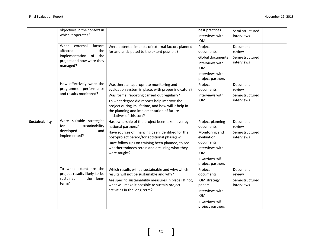|                       | objectives in the context in<br>which it operates?<br>factors<br>What<br>external<br>affected<br>the<br>of the<br>implementation<br>project and how were they<br>managed? | Were potential impacts of external factors planned<br>for and anticipated to the extent possible?                                                                                                                                                                                                                              | best practices<br>Interviews with<br><b>IOM</b><br>Project<br>documents<br><b>Global documents</b><br>Interviews with<br><b>IOM</b><br>Interviews with<br>project partners | Semi-structured<br>interviews<br>Document<br>review<br>Semi-structured<br>interviews |  |
|-----------------------|---------------------------------------------------------------------------------------------------------------------------------------------------------------------------|--------------------------------------------------------------------------------------------------------------------------------------------------------------------------------------------------------------------------------------------------------------------------------------------------------------------------------|----------------------------------------------------------------------------------------------------------------------------------------------------------------------------|--------------------------------------------------------------------------------------|--|
|                       | How effectively were the<br>programme performance<br>and results monitored?                                                                                               | Was there an appropriate monitoring and<br>evaluation system in place, with proper indicators?<br>Was formal reporting carried out regularly?<br>To what degree did reports help improve the<br>project during its lifetime, and how will it help in<br>the planning and implementation of future<br>initiatives of this sort? | Project<br>documents<br>Interviews with<br><b>IOM</b>                                                                                                                      | Document<br>review<br>Semi-structured<br>interviews                                  |  |
| <b>Sustainability</b> | Were suitable strategies<br>sustainability<br>for<br>developed<br>and<br>implemented?                                                                                     | Has ownership of the project been taken over by<br>national partners?<br>Have sources of financing been identified for the<br>post-project period/for additional phase(s)?<br>Have follow-ups on training been planned, to see<br>whether trainees retain and are using what they<br>were taught?                              | Project planning<br>documents<br>Monitoring and<br>evaluation<br>documents<br>Interviews with<br><b>IOM</b><br>Interviews with<br>project partners                         | Document<br>review<br>Semi-structured<br>interviews                                  |  |
|                       | To what extent are the<br>project results likely to be<br>sustained in the long-<br>term?                                                                                 | Which results will be sustainable and why/which<br>results will not be sustainable and why?<br>Are specific sustainability measures in place? If not,<br>what will make it possible to sustain project<br>activities in the long-term?                                                                                         | Project<br>documents<br>IOM strategy<br>papers<br>Interviews with<br><b>IOM</b><br>Interviews with<br>project partners                                                     | Document<br>review<br>Semi-structured<br>interviews                                  |  |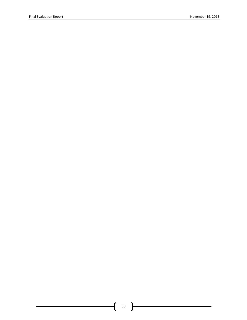53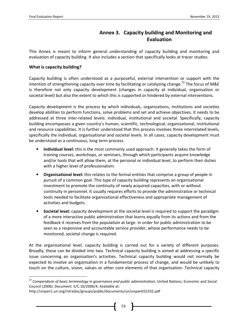# Annex 3. Capacity building and Monitoring and Evaluation

This Annex is meant to inform general understanding of capacity building and monitoring and evaluation of capacity building. It also includes a section that specifically looks at tracer studies.

## What is capacity building?

 $\overline{a}$ 

Capacity building is often understood as a purposeful, external intervention or support with the intention of strengthening capacity over time by facilitating or catalyzing change.<sup>22</sup> The focus of M&E is therefore not only capacity development (changes in capacity at individual, organisation or societal level) but also the extent to which this is supported or hindered by external interventions.

Capacity development is the process by which individuals, organizations, institutions and societies develop abilities to perform functions, solve problems and set and achieve objectives. It needs to be addressed at three inter-related levels: individual, institutional and societal. Specifically, capacity building encompasses a given country's human, scientific, technological, organizational, institutional and resource capabilities. It is further understood that this process involves three interrelated levels, specifically the individual, organisational and societal levels. In all cases, capacity development must be understood as a continuous, long term process.

- Individual level: this is the most commonly used approach. It generally takes the form of training courses, workshops, or seminars, through which participants acquire knowledge and/or tools that will allow them, at the personal or individual level, to perform their duties with a higher level of professionalism.
- Organisational level: this relates to the formal entities that comprise a group of people in pursuit of a common goal. This type of capacity building represents an organisational investment to promote the continuity of newly acquired capacities, with or without continuity in personnel. It usually requires efforts to provide the administrative or technical tools needed to facilitate organisational effectiveness and appropriate management of activities and budgets.
- Societal level: capacity development at the societal level is required to support the paradigm of a more interactive public administration that learns equally from its actions and from the feedback it receives from the population at large. In order for public administration to be seen as a responsive and accountable service provider, whose performance needs to be monitored, societal change is required.

At the organisational level, capacity building is carried out for a variety of different purposes. Broadly, these can be divided into two. Technical capacity building is aimed at addressing a specific issue concerning an organisation's activities. Technical capacity building would not normally be expected to involve an organisation in a fundamental process of change, and would be unlikely to touch on the culture, vision, values or other core elements of that organisation. Technical capacity

<sup>22</sup> Compendium of basic terminology in governance and public administration, United Nations, Economic and Social Council (2006). Document E/C.16/2006/4. Available at:

```
http://unpan1.un.org/intradoc/groups/public/documents/un/unpan022332.pdf
```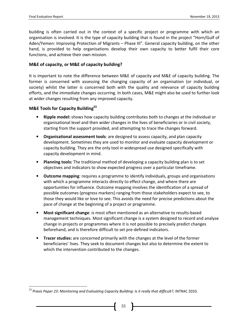building is often carried out in the context of a specific project or programme with which an organisation is involved. It is the type of capacity building that is found in the project "Horn/Gulf of Aden/Yemen: Improving Protection of Migrants – Phase III". General capacity building, on the other hand, is provided to help organisations develop their own capacity to better fulfil their core functions, and achieve their own mission.

## M&E of capacity, or M&E of capacity building?

It is important to note the difference between M&E of capacity and M&E of capacity building. The former is concerned with assessing the changing capacity of an organisation (or individual, or society) whilst the latter is concerned both with the quality and relevance of capacity building efforts, and the immediate changes occurring. In both cases, M&E might also be used to further look at wider changes resulting from any improved capacity.

## M&E Tools for Capacity Building<sup>23</sup>

 $\overline{a}$ 

- **Ripple model:** shows how capacity building contributes both to changes at the individual or organisational level and then wider changes in the lives of beneficiaries or in civil society, starting from the support provided, and attempting to trace the changes forward.
- Organisational assessment tools: are designed to assess capacity, and plan capacity development. Sometimes they are used to monitor and evaluate capacity development or capacity building. They are the only tool in widespread use designed specifically with capacity development in mind.
- Planning tools: The traditional method of developing a capacity building plan is to set objectives and indicators to show expected progress over a particular timeframe.
- Outcome mapping: requires a programme to identify individuals, groups and organisations with which a programme interacts directly to effect change, and where there are opportunities for influence. Outcome mapping involves the identification of a spread of possible outcomes (progress markers) ranging from those stakeholders expect to see, to those they would like or love to see. This avoids the need for precise predictions about the pace of change at the beginning of a project or programme.
- Most significant change: is most often mentioned as an alternative to results-based management techniques. Most significant change is a system designed to record and analyse change in projects or programmes where it is not possible to precisely predict changes beforehand, and is therefore difficult to set pre-defined indicators.
- Tracer studies: are concerned primarily with the changes at the level of the former beneficiaries' lives. They seek to document changes but also to determine the extent to which the intervention contributed to the changes.

<sup>&</sup>lt;sup>23</sup> Praxis Paper 23: Monitoring and Evaluating Capacity Building: Is it really that difficult?, INTRAC 2010.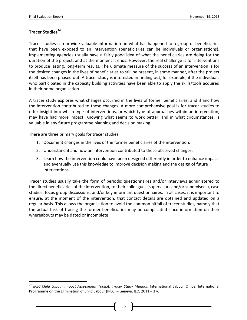# Tracer Studies<sup>24</sup>

 $\overline{a}$ 

Tracer studies can provide valuable information on what has happened to a group of beneficiaries that have been exposed to an intervention (beneficiaries can be individuals or organisations). Implementing agencies usually have a fairly good idea of what the beneficiaries are doing for the duration of the project, and at the moment it ends. However, the real challenge is for interventions to produce lasting, long-term results. The ultimate measure of the success of an intervention is for the desired changes in the lives of beneficiaries to still be present, in some manner, after the project itself has been phased out. A tracer study is interested in finding out, for example, if the individuals who participated in the capacity building activities have been able to apply the skills/tools acquired in their home organisation.

A tracer study explores what changes occurred in the lives of former beneficiaries, and if and how the intervention contributed to these changes. A more comprehensive goal is for tracer studies to offer insight into which type of interventions, or which type of approaches within an intervention, may have had more impact. Knowing what seems to work better, and in what circumstances, is valuable in any future programme planning and decision making.

There are three primary goals for tracer studies:

- 1. Document changes in the lives of the former beneficiaries of the intervention.
- 2. Understand if and how an intervention contributed to these observed changes.
- 3. Learn how the intervention could have been designed differently in order to enhance impact and eventually use this knowledge to improve decision making and the design of future interventions.

Tracer studies usually take the form of periodic questionnaires and/or interviews administered to the direct beneficiaries of the intervention, to their colleagues (supervisors and/or supervisees), case studies, focus group discussions, and/or key informant questionnaires. In all cases, it is important to ensure, at the moment of the intervention, that contact details are obtained and updated on a regular basis. This allows the organisation to avoid the common pitfall of tracer studies, namely that the actual task of tracing the former beneficiaries may be complicated since information on their whereabouts may be dated or incomplete.

<sup>&</sup>lt;sup>24</sup> IPEC Child Labour Impact Assessment Toolkit: Tracer Study Manual, International Labour Office, International Programme on the Elimination of Child Labour (IPEC) – Geneva: ILO, 2011 – 3 v.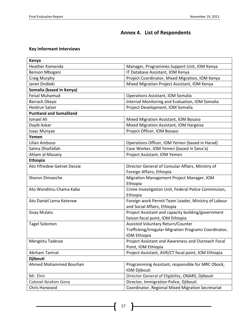# Annex 4. List of Respondents

# Key Informant Interviews

| Kenya                                                           |                                                                          |
|-----------------------------------------------------------------|--------------------------------------------------------------------------|
| <b>Heather Komenda</b>                                          | Manager, Programmes Support Unit, IOM Kenya                              |
| Benson Mbogani<br>IT Database Assistant, IOM Kenya              |                                                                          |
| Project Coordinator, Mixed Migration, IOM Kenya<br>Craig Murphy |                                                                          |
| Janet Ondieki                                                   | Mixed Migration Project Assistant, IOM Kenya                             |
| Somalia (based in Kenya)                                        |                                                                          |
| <b>Feisal Muhamud</b>                                           | <b>Operations Assistant, IOM Somalia</b>                                 |
| Barrack Okeyo                                                   | Internal Monitoring and Evaluation, IOM Somalia                          |
| <b>Heidrun Salzer</b>                                           | Project Development, IOM Somalia                                         |
| <b>Puntland and Somaliland</b>                                  |                                                                          |
| Ismael Ali                                                      | Mixed Migration Assistant, IOM Bosaso                                    |
| Dayib Askar                                                     | Mixed Migration Assistant, IOM Hargeisa                                  |
| <b>Isaac Munyae</b>                                             | Project Officer, IOM Bosaso                                              |
| Yemen                                                           |                                                                          |
| Lilian Ambuso                                                   | Operations Officer, IOM Yemen (based in Harad)                           |
| Salma Dhaifallah                                                | Case Worker, IOM Yemen (based in Sana'a)                                 |
| Ahlam al-Masany                                                 | Project Assistant, IOM Yemen                                             |
| <b>Ethiopia</b>                                                 |                                                                          |
| Ato Yifredew Getnet Dessie                                      | Director General of Consular Affairs, Ministry of                        |
|                                                                 | Foreign Affairs, Ethiopia                                                |
| <b>Sharon Dimanche</b>                                          | Migration Management Project Manager, IOM                                |
|                                                                 | Ethiopia                                                                 |
| Ato Wondimu Chama Kaba                                          | Crime Investigation Unit, Federal Police Commission,                     |
|                                                                 | Ethiopia                                                                 |
| Ato Daniel Lema Keterew                                         | Foreign work Permit Team Leader, Ministry of Labour                      |
|                                                                 | and Social Affairs, Ethiopia                                             |
| Sisay Mulatu                                                    | Project Assistant and capacity building/government                       |
|                                                                 | liaison focal point, IOM Ethiopia                                        |
| <b>Tagel Solomon</b>                                            | Assisted Voluntary Return/Counter                                        |
|                                                                 | Trafficking/Irregular Migration Programs Coordinator,                    |
|                                                                 | IOM Ethiopia                                                             |
| Mengistu Tadesse                                                | Project Assistant and Awareness and Outreach Focal                       |
|                                                                 | Point, IOM Ethiopia                                                      |
| Abrham Tamrat                                                   | Project Assistant, AVR/CT focal point, IOM Ethiopia                      |
| Djibouti                                                        |                                                                          |
| Ahmed Mohammed Bourhan                                          | Programming Assistant, responsible for MRC Obock,<br><b>IOM Djibouti</b> |
| Mr. Elmi                                                        | Director General of Eligibility, ONARS, Djibouti                         |
| Colonel Ibrahim Gona                                            | Director, Immigration Police, Djibouti                                   |
| Chris Horwood                                                   | Coordinator, Regional Mixed Migration Secretariat                        |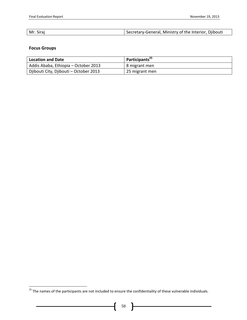| Mr. Siraj | Secretary-General, Ministry of the Interior, Djibouti |
|-----------|-------------------------------------------------------|

# Focus Groups

 $\overline{a}$ 

| <b>Location and Date</b>               | Participants <sup>25</sup> |
|----------------------------------------|----------------------------|
| Addis Ababa, Ethiopia – October 2013   | 8 migrant men              |
| Diibouti City, Djibouti – October 2013 | 25 migrant men             |

<sup>&</sup>lt;sup>25</sup> The names of the participants are not included to ensure the confidentiality of these vulnerable individuals.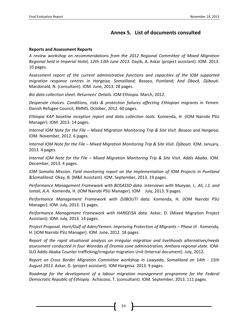# Annex 5. List of documents consulted

#### Reports and Assessment Reports

A review workshop on recommendations from the 2012 Regional Committee of Mixed Migration Regional held in Imperial Hotel, 12th-13th June 2013. Dayib, A. Askar (project assistant). IOM. 2013. 10 pages.

Assessment report of the current administrative functions and capacities of the IOM supported migration response centres in Hargeisa, Somaliland; Bosaso, Puntland; And Obock, Djibouti. Macdonald, N. (consultant). IOM. June, 2013. 28 pages.

Bio data collection sheet. Returnees' Details. IOM Ethiopia. March, 2012.

Desperate choices. Conditions, risks & protection failures affecting Ethiopian migrants in Yemen. Danish Refugee Council, RMMS. October, 2012. 60 pages.

Ethiopia KAP baseline inception report and data collection tools. Komenda, H. (IOM Nairobi PSU Manager). IOM. 2013. 14 pages.

Internal IOM Note for the File – Mixed Migration Monitoring Trip & Site Visit. Bosaso and Hargeisa. IOM. November, 2012. 6 pages.

Internal IOM Note for the File – Mixed Migration Monitoring Trip & Site Visit. Djibouti. IOM. January, 2013. 4 pages.

Internal IOM Note for the File – Mixed Migration Monitoring Trip & Site Visit. Addis Ababa. IOM. December, 2013. 4 pages.

IOM Somalia Mission. Field monitoring report on the Implementation of IOM Projects in Puntland &Somaliland. Okay, B. (M&E Assistant). IOM. September, 2013. 19 pages.

Performance Management Framework with BOSASSO data. Interviews with Munyae, I., Ali, I.S. and Ismail, A.A. Komenda, H. (IOM Nairobi PSU Manager). IOM July, 2013. 9 pages.

Performance Management Framework with DJIBOUTI data. Komenda, H. (IOM Nairobi PSU Manager). IOM. July, 2013. 11 pages.

Performance Management Framework with HARGEISA data. Askar, D. (Mixed Migration Project Assistant). IOM. July, 2013. 14 pages.

Project Proposal. Horn/Gulf of Aden/Yemen: Improving Protection of Migrants – Phase III . Komenda, H. (IOM Nairobi PSU Manager). IOM. June, 2012. 18 pages.

Report of the rapid situational analysis on irregular migration and livelihoods alternatives/needs assessment conducted in four Woredas of Oromia zone administration, Amhara regional state. IOM-SLO Addis Ababa Counter trafficking/irregular migration Unit (internal document). July, 2012.

Report on Cross Border Migration Committee workshop in Lowyado, Somaliland on 14th - 15th August 2013. Askar, D. (project assistant). IOM Hargeisa. 2013. 9 pages.

Roadmap for the development of a labour migration management programme for the Federal Democratic Republic of Ethiopia. Achacoso, T. (consultant). IOM. September, 2013. 111 pages.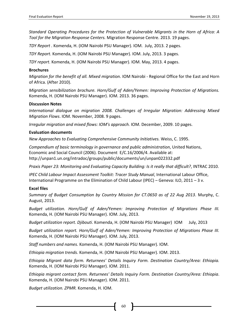Standard Operating Procedures for the Protection of Vulnerable Migrants in the Horn of Africa: A Tool for the Migration Response Centers. Migration Response Centre. 2013. 19 pages.

TDY Report . Komenda, H. (IOM Nairobi PSU Manager). IOM. July, 2013. 2 pages.

TDY Report. Komenda, H. (IOM Nairobi PSU Manager). IOM. July, 2013. 3 pages.

TDY report. Komenda, H. (IOM Nairobi PSU Manager). IOM. May, 2013. 4 pages.

#### Brochures

Migration for the benefit of all. Mixed migration. IOM Nairobi - Regional Office for the East and Horn of Africa. (After 2010).

Migration sensibilization brochure. Horn/Gulf of Aden/Yemen: Improving Protection of Migrations. Komenda, H. (IOM Nairobi PSU Manager). IOM. 2013. 36 pages.

#### Discussion Notes

International dialogue on migration 2008. Challenges of Irregular Migration: Addressing Mixed Migration Flows. IOM. November, 2008. 9 pages.

Irregular migration and mixed flows: IOM's approach. IOM. December, 2009. 10 pages.

#### Evaluation documents

New Approaches to Evaluating Comprehensive Community Initiatives. Weiss, C. 1995.

Compendium of basic terminology in governance and public administration, United Nations, Economic and Social Council (2006). Document E/C.16/2006/4. Available at: http://unpan1.un.org/intradoc/groups/public/documents/un/unpan022332.pdf

Praxis Paper 23: Monitoring and Evaluating Capacity Building: Is it really that difficult?, INTRAC 2010.

IPEC Child Labour Impact Assessment Toolkit: Tracer Study Manual, International Labour Office, International Programme on the Elimination of Child Labour (IPEC) – Geneva: ILO, 2011 – 3 v.

#### Excel files

Summary of Budget Consumption by Country Mission for CT.0650 as of 22 Aug 2013. Murphy, C. August, 2013.

Budget utilization. Horn/Gulf of Aden/Yemen: Improving Protection of Migrations Phase III. Komenda, H. (IOM Nairobi PSU Manager). IOM. July, 2013.

Budget utilization report. Djibouti. Komenda, H. (IOM Nairobi PSU Manager) IOM July, 2013

Budget utilization report. Horn/Gulf of Aden/Yemen: Improving Protection of Migrations Phase III. Komenda, H. (IOM Nairobi PSU Manager). IOM. July, 2013.

Staff numbers and names. Komenda, H. (IOM Nairobi PSU Manager). IOM.

Ethiopia migration trends. Komenda, H. (IOM Nairobi PSU Manager). IOM. 2013.

Ethiopia Migrant data form. Returnees' Details Inquiry Form. Destination Country/Area: Ethiopia. Komenda, H. (IOM Nairobi PSU Manager). IOM. 2011.

Ethiopia migrant contact form. Returnees' Details Inquiry Form. Destination Country/Area: Ethiopia. Komenda, H. (IOM Nairobi PSU Manager). IOM. 2011.

Budget utilization. ZPMR. Komenda, H. IOM.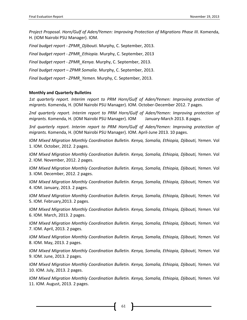Project Proposal. Horn/Gulf of Aden/Yemen: Improving Protection of Migrations Phase III. Komenda, H. (IOM Nairobi PSU Manager). IOM.

Final budget report - ZPMR\_Djibouti. Murphy, C. September, 2013. Final budget report - ZPMR\_Ethiopia. Murphy, C. September, 2013 Final budget report - ZPMR\_Kenya. Murphy, C. September, 2013. Final budget report – ZPMR Somalia. Murphy, C. September, 2013. Final budget report - ZPMR\_Yemen. Murphy, C. September, 2013.

#### Monthly and Quarterly Bulletins

1st quarterly report. Interim report to PRM Horn/Gulf of Aden/Yemen: Improving protection of migrants. Komenda, H. (IOM Nairobi PSU Manager). IOM. October-December 2012. 7 pages.

2nd quarterly report. Interim report to PRM Horn/Gulf of Aden/Yemen: Improving protection of migrants. Komenda, H. (IOM Nairobi PSU Manager). IOM January-March 2013. 8 pages.

3rd quarterly report. Interim report to PRM Horn/Gulf of Aden/Yemen: Improving protection of migrants. Komenda, H. (IOM Nairobi PSU Manager). IOM. April-June 2013. 10 pages.

IOM Mixed Migration Monthly Coordination Bulletin. Kenya, Somalia, Ethiopia, Djibouti, Yemen. Vol 1. IOM. October, 2012. 2 pages.

IOM Mixed Migration Monthly Coordination Bulletin. Kenya, Somalia, Ethiopia, Djibouti, Yemen. Vol 2. IOM. November, 2012. 2 pages.

IOM Mixed Migration Monthly Coordination Bulletin. Kenya, Somalia, Ethiopia, Djibouti, Yemen. Vol 3. IOM. December, 2012. 2 pages.

IOM Mixed Migration Monthly Coordination Bulletin. Kenya, Somalia, Ethiopia, Djibouti, Yemen. Vol 4. IOM. January, 2013. 2 pages.

IOM Mixed Migration Monthly Coordination Bulletin. Kenya, Somalia, Ethiopia, Djibouti, Yemen. Vol 5. IOM. February,2013. 2 pages.

IOM Mixed Migration Monthly Coordination Bulletin. Kenya, Somalia, Ethiopia, Djibouti, Yemen. Vol 6. IOM. March, 2013. 2 pages.

IOM Mixed Migration Monthly Coordination Bulletin. Kenya, Somalia, Ethiopia, Djibouti, Yemen. Vol 7. IOM. April, 2013. 2 pages.

IOM Mixed Migration Monthly Coordination Bulletin. Kenya, Somalia, Ethiopia, Djibouti, Yemen. Vol 8. IOM. May, 2013. 2 pages.

IOM Mixed Migration Monthly Coordination Bulletin. Kenya, Somalia, Ethiopia, Djibouti, Yemen. Vol 9. IOM. June, 2013. 2 pages.

IOM Mixed Migration Monthly Coordination Bulletin. Kenya, Somalia, Ethiopia, Djibouti, Yemen. Vol 10. IOM. July, 2013. 2 pages.

IOM Mixed Migration Monthly Coordination Bulletin. Kenya, Somalia, Ethiopia, Djibouti, Yemen. Vol 11. IOM. August, 2013. 2 pages.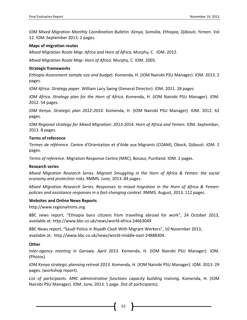IOM Mixed Migration Monthly Coordination Bulletin. Kenya, Somalia, Ethiopia, Djibouti, Yemen. Vol 12. IOM. September 2013. 2 pages.

#### Maps of migration routes

Mixed Migration Route Map: Africa and Horn of Africa. Murphy, C. IOM. 2012.

Mixed Migration Route Map: Horn of Africa. Murphy, C. IOM. 2005.

#### Strategic frameworks

Ethiopia Assessment sample size and budget. Komenda, H. (IOM Nairobi PSU Manager). IOM. 2013. 2 pages.

IOM Africa. Strategy paper. William Lacy Swing (General Director). IOM. 2011. 28 pages.

IOM Africa. Strategy plan for the Horn of Africa. Komenda, H. (IOM Nairobi PSU Manager). IOM. 2012. 54 pages.

IOM Kenya. Strategic plan 2012-2014. Komenda, H. (IOM Nairobi PSU Manager). IOM. 2012. 62 pages.

IOM Regional strategy for Mixed Migration: 2013-2014. Horn of Africa and Yemen. IOM. September, 2013. 8 pages.

#### Terms of reference

Termes de référence. Centre d'Orientation et d'Aide aux Migrants (COAM), Obock, Djibouti. IOM. 2 pages.

Terms of reference. Migration Response Centre (MRC), Bosaso, Puntland. IOM. 2 pages.

#### Research series

Mixed Migration Research Series. Migrant Smuggling in the Horn of Africa & Yemen: the social economy and protection risks. RMMS. June, 2013. 84 pages.

Mixed Migration Research Series. Responses to mixed migration in the Horn of Africa & Yemen: policies and assistance responses in a fast-changing context. RMMS. August, 2013. 112 pages.

#### Websites and Online News Reports

http://www.regionalmms.org

BBC news report, "Ethiopia bans citizens from travelling abroad for work", 24 October 2013, available at: http://www.bbc.co.uk/news/world-africa-24663049

BBC News report, "Saudi Police in Riyadh Clash With Migrant Workers", 10 November 2013, available at: http://www.bbc.co.uk/news/world-middle-east-24888304.

#### **Other**

Inter-agency meeting in Garowe, April 2013. Komenda, H. (IOM Nairobi PSU Manager). IOM. (Photos).

IOM Kenya strategic planning retreat 2013. Komenda, H. (IOM Nairobi PSU Manager). IOM. 2013. 29 pages. (workshop report).

List of participants. MRC administrative functions capacity building training. Komenda, H. (IOM Nairobi PSU Manager). IOM. June, 2013. 1 page. (list of participants).